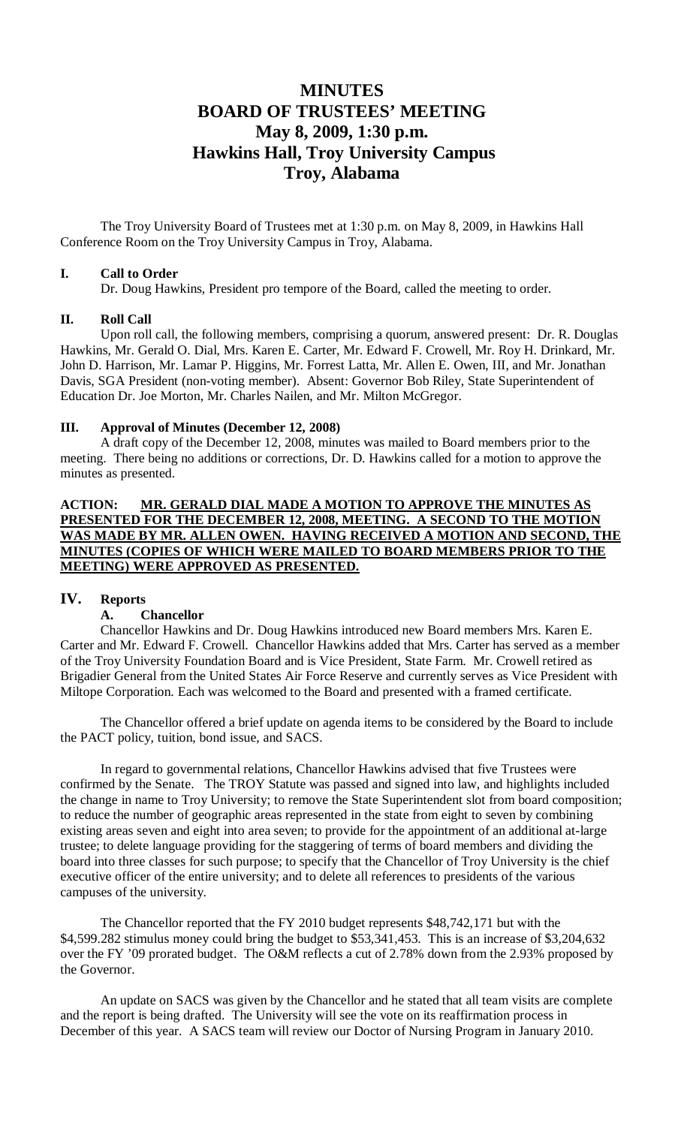## **MINUTES BOARD OF TRUSTEES' MEETING May 8, 2009, 1:30 p.m. Hawkins Hall, Troy University Campus Troy, Alabama**

The Troy University Board of Trustees met at 1:30 p.m. on May 8, 2009, in Hawkins Hall Conference Room on the Troy University Campus in Troy, Alabama.

### **I. Call to Order**

Dr. Doug Hawkins, President pro tempore of the Board, called the meeting to order.

## **II. Roll Call**

Upon roll call, the following members, comprising a quorum, answered present: Dr. R. Douglas Hawkins, Mr. Gerald O. Dial, Mrs. Karen E. Carter, Mr. Edward F. Crowell, Mr. Roy H. Drinkard, Mr. John D. Harrison, Mr. Lamar P. Higgins, Mr. Forrest Latta, Mr. Allen E. Owen, III, and Mr. Jonathan Davis, SGA President (non-voting member). Absent: Governor Bob Riley, State Superintendent of Education Dr. Joe Morton, Mr. Charles Nailen, and Mr. Milton McGregor.

## **III. Approval of Minutes (December 12, 2008)**

A draft copy of the December 12, 2008, minutes was mailed to Board members prior to the meeting. There being no additions or corrections, Dr. D. Hawkins called for a motion to approve the minutes as presented.

## **ACTION: MR. GERALD DIAL MADE A MOTION TO APPROVE THE MINUTES AS PRESENTED FOR THE DECEMBER 12, 2008, MEETING. A SECOND TO THE MOTION WAS MADE BY MR. ALLEN OWEN. HAVING RECEIVED A MOTION AND SECOND, THE MINUTES (COPIES OF WHICH WERE MAILED TO BOARD MEMBERS PRIOR TO THE MEETING) WERE APPROVED AS PRESENTED.**

## **IV. Reports**

## **A. Chancellor**

Chancellor Hawkins and Dr. Doug Hawkins introduced new Board members Mrs. Karen E. Carter and Mr. Edward F. Crowell. Chancellor Hawkins added that Mrs. Carter has served as a member of the Troy University Foundation Board and is Vice President, State Farm. Mr. Crowell retired as Brigadier General from the United States Air Force Reserve and currently serves as Vice President with Miltope Corporation. Each was welcomed to the Board and presented with a framed certificate.

The Chancellor offered a brief update on agenda items to be considered by the Board to include the PACT policy, tuition, bond issue, and SACS.

In regard to governmental relations, Chancellor Hawkins advised that five Trustees were confirmed by the Senate. The TROY Statute was passed and signed into law, and highlights included the change in name to Troy University; to remove the State Superintendent slot from board composition; to reduce the number of geographic areas represented in the state from eight to seven by combining existing areas seven and eight into area seven; to provide for the appointment of an additional at-large trustee; to delete language providing for the staggering of terms of board members and dividing the board into three classes for such purpose; to specify that the Chancellor of Troy University is the chief executive officer of the entire university; and to delete all references to presidents of the various campuses of the university.

The Chancellor reported that the FY 2010 budget represents \$48,742,171 but with the \$4,599.282 stimulus money could bring the budget to \$53,341,453. This is an increase of \$3,204,632 over the FY '09 prorated budget. The O&M reflects a cut of 2.78% down from the 2.93% proposed by the Governor.

An update on SACS was given by the Chancellor and he stated that all team visits are complete and the report is being drafted. The University will see the vote on its reaffirmation process in December of this year. A SACS team will review our Doctor of Nursing Program in January 2010.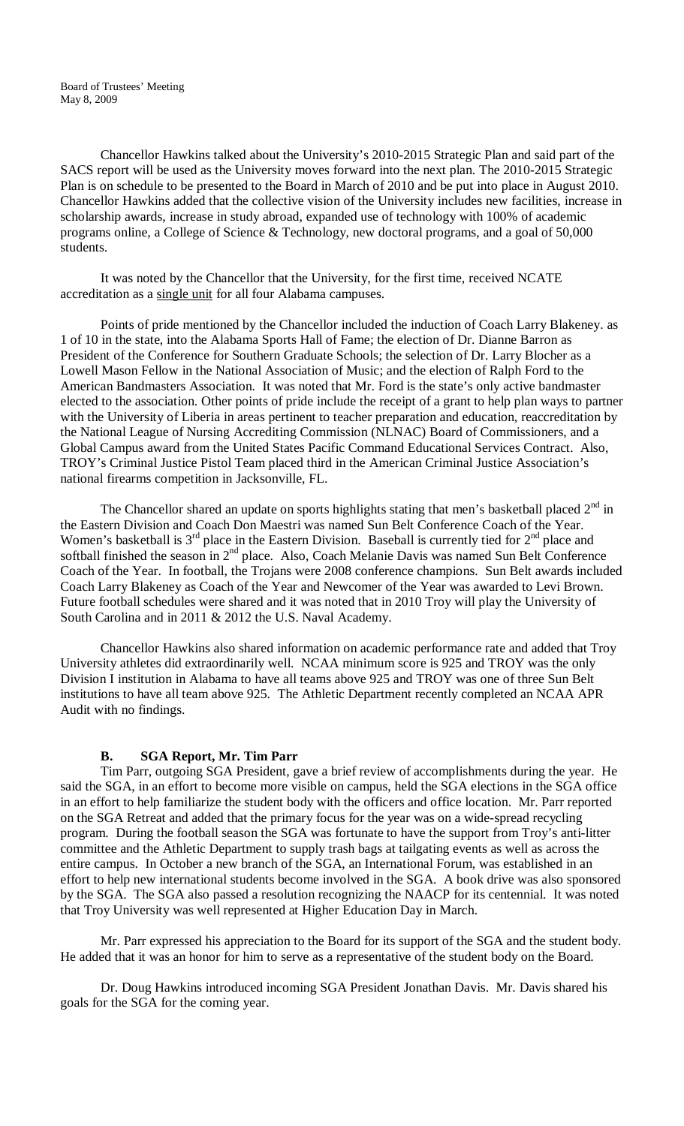Chancellor Hawkins talked about the University's 2010-2015 Strategic Plan and said part of the SACS report will be used as the University moves forward into the next plan. The 2010-2015 Strategic Plan is on schedule to be presented to the Board in March of 2010 and be put into place in August 2010. Chancellor Hawkins added that the collective vision of the University includes new facilities, increase in scholarship awards, increase in study abroad, expanded use of technology with 100% of academic programs online, a College of Science & Technology, new doctoral programs, and a goal of 50,000 students.

It was noted by the Chancellor that the University, for the first time, received NCATE accreditation as a single unit for all four Alabama campuses.

Points of pride mentioned by the Chancellor included the induction of Coach Larry Blakeney. as 1 of 10 in the state, into the Alabama Sports Hall of Fame; the election of Dr. Dianne Barron as President of the Conference for Southern Graduate Schools; the selection of Dr. Larry Blocher as a Lowell Mason Fellow in the National Association of Music; and the election of Ralph Ford to the American Bandmasters Association. It was noted that Mr. Ford is the state's only active bandmaster elected to the association. Other points of pride include the receipt of a grant to help plan ways to partner with the University of Liberia in areas pertinent to teacher preparation and education, reaccreditation by the National League of Nursing Accrediting Commission (NLNAC) Board of Commissioners, and a Global Campus award from the United States Pacific Command Educational Services Contract. Also, TROY's Criminal Justice Pistol Team placed third in the American Criminal Justice Association's national firearms competition in Jacksonville, FL.

The Chancellor shared an update on sports highlights stating that men's basketball placed  $2<sup>nd</sup>$  in the Eastern Division and Coach Don Maestri was named Sun Belt Conference Coach of the Year. Women's basketball is  $3^{rd}$  place in the Eastern Division. Baseball is currently tied for  $2^{nd}$  place and softball finished the season in 2<sup>nd</sup> place. Also, Coach Melanie Davis was named Sun Belt Conference Coach of the Year. In football, the Trojans were 2008 conference champions. Sun Belt awards included Coach Larry Blakeney as Coach of the Year and Newcomer of the Year was awarded to Levi Brown. Future football schedules were shared and it was noted that in 2010 Troy will play the University of South Carolina and in 2011 & 2012 the U.S. Naval Academy.

Chancellor Hawkins also shared information on academic performance rate and added that Troy University athletes did extraordinarily well. NCAA minimum score is 925 and TROY was the only Division I institution in Alabama to have all teams above 925 and TROY was one of three Sun Belt institutions to have all team above 925. The Athletic Department recently completed an NCAA APR Audit with no findings.

#### **B. SGA Report, Mr. Tim Parr**

Tim Parr, outgoing SGA President, gave a brief review of accomplishments during the year. He said the SGA, in an effort to become more visible on campus, held the SGA elections in the SGA office in an effort to help familiarize the student body with the officers and office location. Mr. Parr reported on the SGA Retreat and added that the primary focus for the year was on a wide-spread recycling program. During the football season the SGA was fortunate to have the support from Troy's anti-litter committee and the Athletic Department to supply trash bags at tailgating events as well as across the entire campus. In October a new branch of the SGA, an International Forum, was established in an effort to help new international students become involved in the SGA. A book drive was also sponsored by the SGA. The SGA also passed a resolution recognizing the NAACP for its centennial. It was noted that Troy University was well represented at Higher Education Day in March.

Mr. Parr expressed his appreciation to the Board for its support of the SGA and the student body. He added that it was an honor for him to serve as a representative of the student body on the Board.

Dr. Doug Hawkins introduced incoming SGA President Jonathan Davis. Mr. Davis shared his goals for the SGA for the coming year.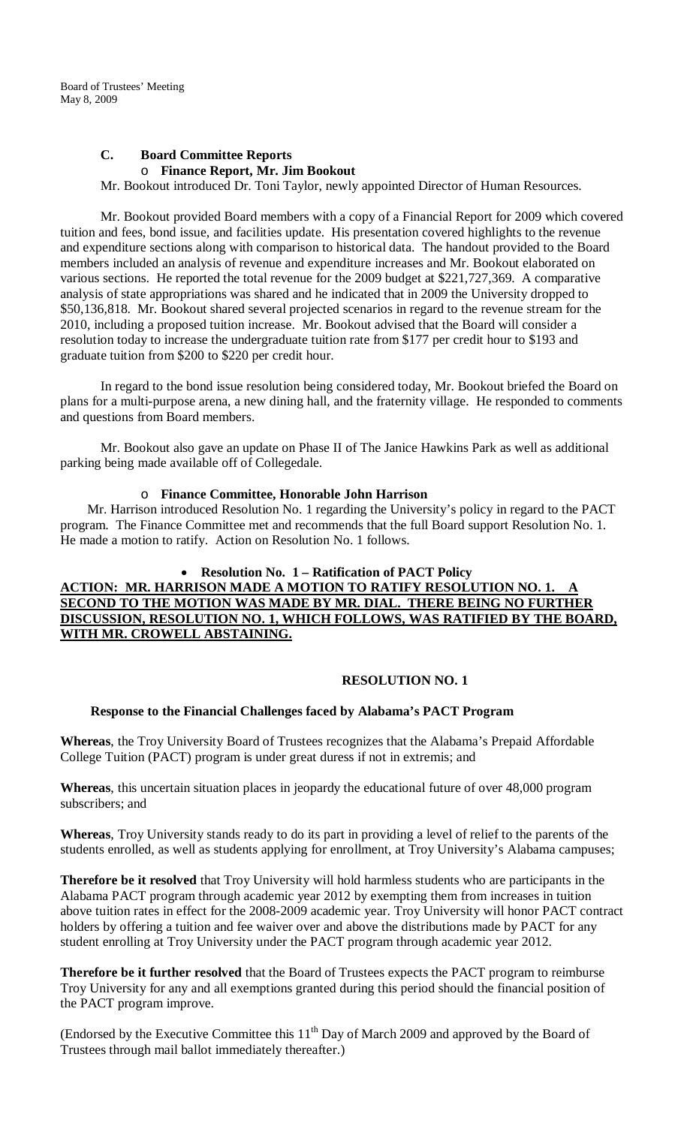## **C. Board Committee Reports** o **Finance Report, Mr. Jim Bookout**

Mr. Bookout introduced Dr. Toni Taylor, newly appointed Director of Human Resources.

Mr. Bookout provided Board members with a copy of a Financial Report for 2009 which covered tuition and fees, bond issue, and facilities update. His presentation covered highlights to the revenue and expenditure sections along with comparison to historical data. The handout provided to the Board members included an analysis of revenue and expenditure increases and Mr. Bookout elaborated on various sections. He reported the total revenue for the 2009 budget at \$221,727,369. A comparative analysis of state appropriations was shared and he indicated that in 2009 the University dropped to \$50,136,818. Mr. Bookout shared several projected scenarios in regard to the revenue stream for the 2010, including a proposed tuition increase. Mr. Bookout advised that the Board will consider a resolution today to increase the undergraduate tuition rate from \$177 per credit hour to \$193 and graduate tuition from \$200 to \$220 per credit hour.

In regard to the bond issue resolution being considered today, Mr. Bookout briefed the Board on plans for a multi-purpose arena, a new dining hall, and the fraternity village. He responded to comments and questions from Board members.

Mr. Bookout also gave an update on Phase II of The Janice Hawkins Park as well as additional parking being made available off of Collegedale.

## o **Finance Committee, Honorable John Harrison**

 Mr. Harrison introduced Resolution No. 1 regarding the University's policy in regard to the PACT program. The Finance Committee met and recommends that the full Board support Resolution No. 1. He made a motion to ratify. Action on Resolution No. 1 follows.

## • **Resolution No. 1 – Ratification of PACT Policy ACTION: MR. HARRISON MADE A MOTION TO RATIFY RESOLUTION NO. 1 SECOND TO THE MOTION WAS MADE BY MR. DIAL. THERE BEING NO FURTHER DISCUSSION, RESOLUTION NO. 1, WHICH FOLLOWS, WAS RATIFIED BY THE BOARD, WITH MR. CROWELL ABSTAINING.**

## **RESOLUTION NO. 1**

#### **Response to the Financial Challenges faced by Alabama's PACT Program**

**Whereas**, the Troy University Board of Trustees recognizes that the Alabama's Prepaid Affordable College Tuition (PACT) program is under great duress if not in extremis; and

**Whereas**, this uncertain situation places in jeopardy the educational future of over 48,000 program subscribers; and

**Whereas**, Troy University stands ready to do its part in providing a level of relief to the parents of the students enrolled, as well as students applying for enrollment, at Troy University's Alabama campuses;

**Therefore be it resolved** that Troy University will hold harmless students who are participants in the Alabama PACT program through academic year 2012 by exempting them from increases in tuition above tuition rates in effect for the 2008-2009 academic year. Troy University will honor PACT contract holders by offering a tuition and fee waiver over and above the distributions made by PACT for any student enrolling at Troy University under the PACT program through academic year 2012.

**Therefore be it further resolved** that the Board of Trustees expects the PACT program to reimburse Troy University for any and all exemptions granted during this period should the financial position of the PACT program improve.

(Endorsed by the Executive Committee this  $11<sup>th</sup>$  Day of March 2009 and approved by the Board of Trustees through mail ballot immediately thereafter.)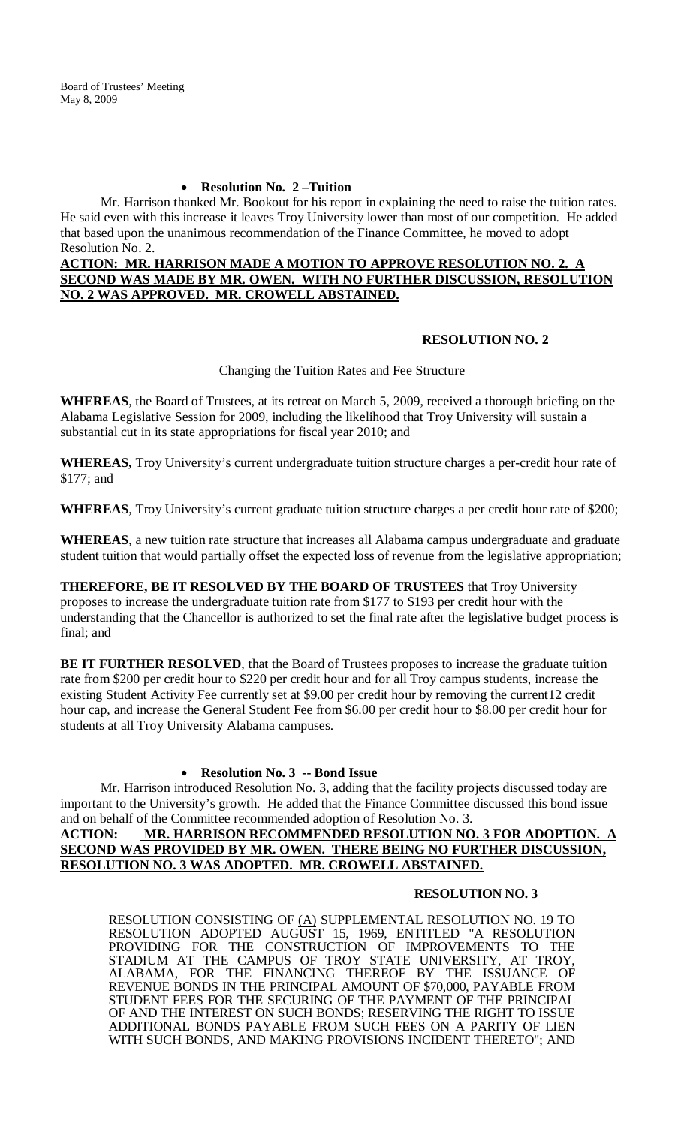## • **Resolution No. 2 –Tuition**

Mr. Harrison thanked Mr. Bookout for his report in explaining the need to raise the tuition rates. He said even with this increase it leaves Troy University lower than most of our competition. He added that based upon the unanimous recommendation of the Finance Committee, he moved to adopt Resolution No. 2.

## **ACTION: MR. HARRISON MADE A MOTION TO APPROVE RESOLUTION NO. 2. A SECOND WAS MADE BY MR. OWEN. WITH NO FURTHER DISCUSSION, RESOLUTION NO. 2 WAS APPROVED. MR. CROWELL ABSTAINED.**

## **RESOLUTION NO. 2**

Changing the Tuition Rates and Fee Structure

**WHEREAS**, the Board of Trustees, at its retreat on March 5, 2009, received a thorough briefing on the Alabama Legislative Session for 2009, including the likelihood that Troy University will sustain a substantial cut in its state appropriations for fiscal year 2010; and

**WHEREAS,** Troy University's current undergraduate tuition structure charges a per-credit hour rate of \$177; and

**WHEREAS**, Troy University's current graduate tuition structure charges a per credit hour rate of \$200;

**WHEREAS**, a new tuition rate structure that increases all Alabama campus undergraduate and graduate student tuition that would partially offset the expected loss of revenue from the legislative appropriation;

**THEREFORE, BE IT RESOLVED BY THE BOARD OF TRUSTEES** that Troy University proposes to increase the undergraduate tuition rate from \$177 to \$193 per credit hour with the understanding that the Chancellor is authorized to set the final rate after the legislative budget process is final; and

**BE IT FURTHER RESOLVED**, that the Board of Trustees proposes to increase the graduate tuition rate from \$200 per credit hour to \$220 per credit hour and for all Troy campus students, increase the existing Student Activity Fee currently set at \$9.00 per credit hour by removing the current12 credit hour cap, and increase the General Student Fee from \$6.00 per credit hour to \$8.00 per credit hour for students at all Troy University Alabama campuses.

## • **Resolution No. 3 -- Bond Issue**

Mr. Harrison introduced Resolution No. 3, adding that the facility projects discussed today are important to the University's growth. He added that the Finance Committee discussed this bond issue and on behalf of the Committee recommended adoption of Resolution No. 3.

## **ACTION: MR. HARRISON RECOMMENDED RESOLUTION NO. 3 FOR ADOPTION. A SECOND WAS PROVIDED BY MR. OWEN. THERE BEING NO FURTHER DISCUSSION, RESOLUTION NO. 3 WAS ADOPTED. MR. CROWELL ABSTAINED.**

## **RESOLUTION NO. 3**

RESOLUTION CONSISTING OF (A) SUPPLEMENTAL RESOLUTION NO. 19 TO RESOLUTION ADOPTED AUGUST 15, 1969, ENTITLED "A RESOLUTION PROVIDING FOR THE CONSTRUCTION OF IMPROVEMENTS TO THE STADIUM AT THE CAMPUS OF TROY STATE UNIVERSITY, AT TROY, ALABAMA, FOR THE FINANCING THEREOF BY THE ISSUANCE OF REVENUE BONDS IN THE PRINCIPAL AMOUNT OF \$70,000, PAYABLE FROM STUDENT FEES FOR THE SECURING OF THE PAYMENT OF THE PRINCIPAL OF AND THE INTEREST ON SUCH BONDS; RESERVING THE RIGHT TO ISSUE ADDITIONAL BONDS PAYABLE FROM SUCH FEES ON A PARITY OF LIEN WITH SUCH BONDS, AND MAKING PROVISIONS INCIDENT THERETO"; AND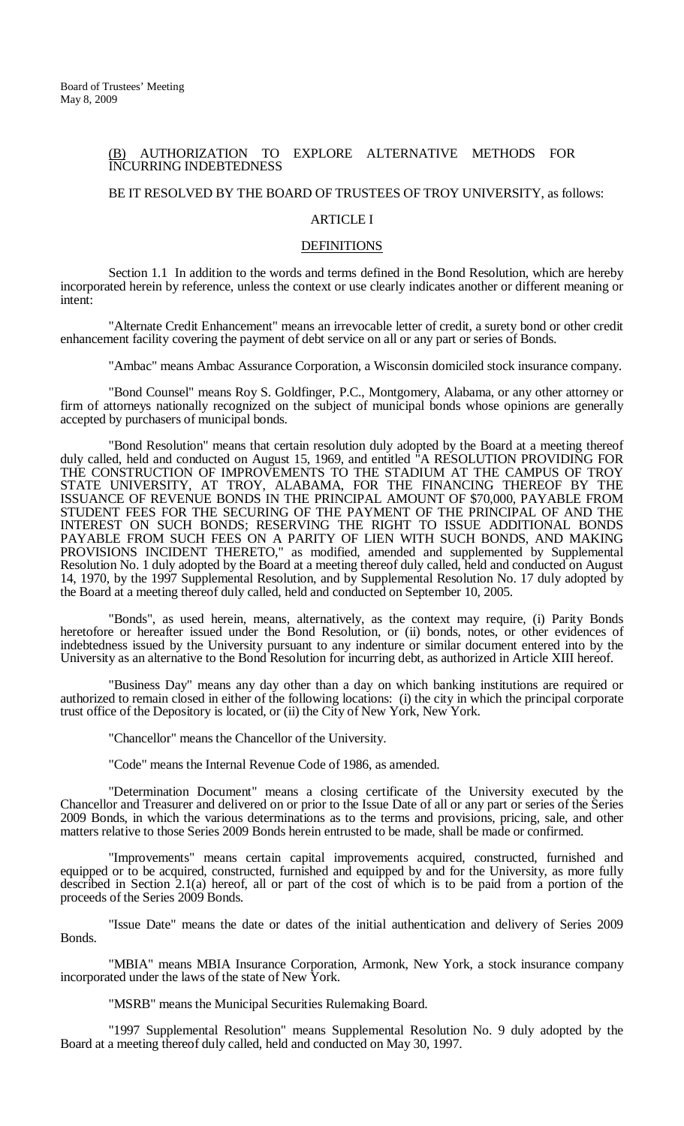#### (B) AUTHORIZATION TO EXPLORE ALTERNATIVE METHODS FOR INCURRING INDEBTEDNESS

## BE IT RESOLVED BY THE BOARD OF TRUSTEES OF TROY UNIVERSITY, as follows:

#### ARTICLE I

#### **DEFINITIONS**

Section 1.1 In addition to the words and terms defined in the Bond Resolution, which are hereby incorporated herein by reference, unless the context or use clearly indicates another or different meaning or intent:

"Alternate Credit Enhancement" means an irrevocable letter of credit, a surety bond or other credit enhancement facility covering the payment of debt service on all or any part or series of Bonds.

"Ambac" means Ambac Assurance Corporation, a Wisconsin domiciled stock insurance company.

"Bond Counsel" means Roy S. Goldfinger, P.C., Montgomery, Alabama, or any other attorney or firm of attorneys nationally recognized on the subject of municipal bonds whose opinions are generally accepted by purchasers of municipal bonds.

"Bond Resolution" means that certain resolution duly adopted by the Board at a meeting thereof duly called, held and conducted on August 15, 1969, and entitled "A RESOLUTION PROVIDING FOR THE CONSTRUCTION OF IMPROVEMENTS TO THE STADIUM AT THE CAMPUS OF TROY STATE UNIVERSITY, AT TROY, ALABAMA, FOR THE FINANCING THEREOF BY THE ISSUANCE OF REVENUE BONDS IN THE PRINCIPAL AMOUNT OF \$70,000, PAYABLE FROM STUDENT FEES FOR THE SECURING OF THE PAYMENT OF THE PRINCIPAL OF AND THE INTEREST ON SUCH BONDS; RESERVING THE RIGHT TO ISSUE ADDITIONAL BONDS PAYABLE FROM SUCH FEES ON A PARITY OF LIEN WITH SUCH BONDS, AND MAKING PROVISIONS INCIDENT THERETO," as modified, amended and supplemented by Supplemental Resolution No. 1 duly adopted by the Board at a meeting thereof duly called, held and conducted on August 14, 1970, by the 1997 Supplemental Resolution, and by Supplemental Resolution No. 17 duly adopted by the Board at a meeting thereof duly called, held and conducted on September 10, 2005.

"Bonds", as used herein, means, alternatively, as the context may require, (i) Parity Bonds heretofore or hereafter issued under the Bond Resolution, or (ii) bonds, notes, or other evidences of indebtedness issued by the University pursuant to any indenture or similar document entered into by the University as an alternative to the Bond Resolution for incurring debt, as authorized in Article XIII hereof.

"Business Day" means any day other than a day on which banking institutions are required or authorized to remain closed in either of the following locations: (i) the city in which the principal corporate trust office of the Depository is located, or (ii) the City of New York, New York.

"Chancellor" means the Chancellor of the University.

"Code" means the Internal Revenue Code of 1986, as amended.

"Determination Document" means a closing certificate of the University executed by the Chancellor and Treasurer and delivered on or prior to the Issue Date of all or any part or series of the Series 2009 Bonds, in which the various determinations as to the terms and provisions, pricing, sale, and other matters relative to those Series 2009 Bonds herein entrusted to be made, shall be made or confirmed.

"Improvements" means certain capital improvements acquired, constructed, furnished and equipped or to be acquired, constructed, furnished and equipped by and for the University, as more fully described in Section 2.1(a) hereof, all or part of the cost of which is to be paid from a portion of the proceeds of the Series 2009 Bonds.

"Issue Date" means the date or dates of the initial authentication and delivery of Series 2009 Bonds.

"MBIA" means MBIA Insurance Corporation, Armonk, New York, a stock insurance company incorporated under the laws of the state of New York.

"MSRB" means the Municipal Securities Rulemaking Board.

"1997 Supplemental Resolution" means Supplemental Resolution No. 9 duly adopted by the Board at a meeting thereof duly called, held and conducted on May 30, 1997.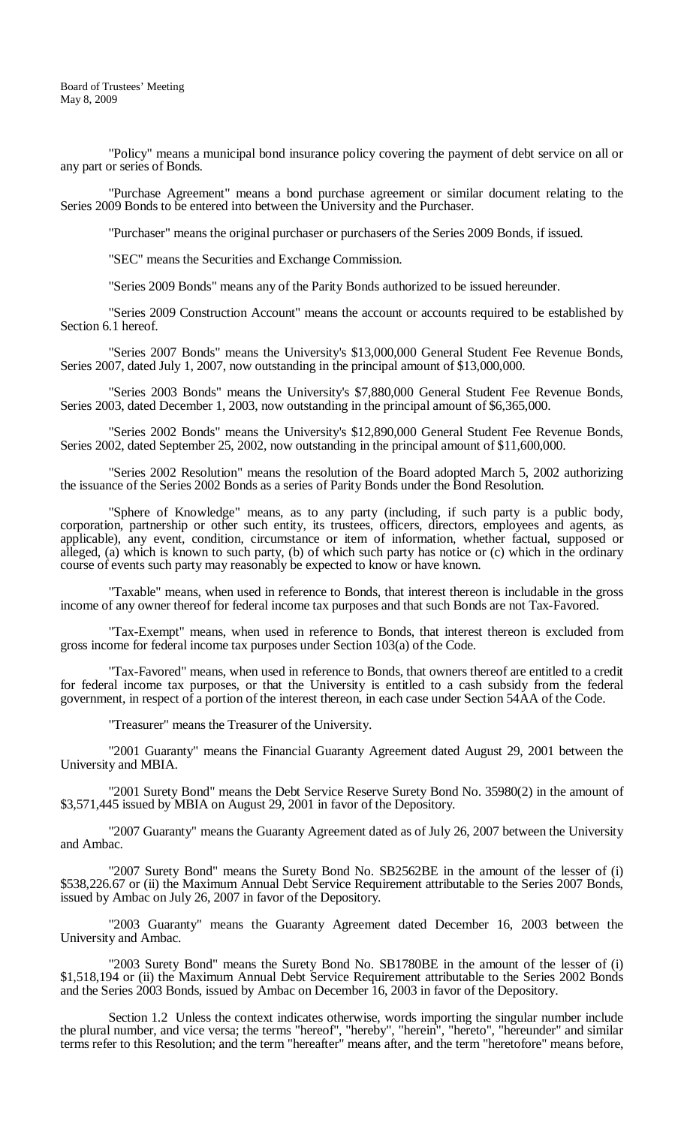"Policy" means a municipal bond insurance policy covering the payment of debt service on all or any part or series of Bonds.

"Purchase Agreement" means a bond purchase agreement or similar document relating to the Series 2009 Bonds to be entered into between the University and the Purchaser.

"Purchaser" means the original purchaser or purchasers of the Series 2009 Bonds, if issued.

"SEC" means the Securities and Exchange Commission.

"Series 2009 Bonds" means any of the Parity Bonds authorized to be issued hereunder.

"Series 2009 Construction Account" means the account or accounts required to be established by Section 6.1 hereof.

"Series 2007 Bonds" means the University's \$13,000,000 General Student Fee Revenue Bonds, Series 2007, dated July 1, 2007, now outstanding in the principal amount of \$13,000,000.

"Series 2003 Bonds" means the University's \$7,880,000 General Student Fee Revenue Bonds, Series 2003, dated December 1, 2003, now outstanding in the principal amount of \$6,365,000.

"Series 2002 Bonds" means the University's \$12,890,000 General Student Fee Revenue Bonds, Series 2002, dated September 25, 2002, now outstanding in the principal amount of \$11,600,000.

"Series 2002 Resolution" means the resolution of the Board adopted March 5, 2002 authorizing the issuance of the Series 2002 Bonds as a series of Parity Bonds under the Bond Resolution.

"Sphere of Knowledge" means, as to any party (including, if such party is a public body, corporation, partnership or other such entity, its trustees, officers, directors, employees and agents, as applicable), any event, condition, circumstance or item of information, whether factual, supposed or alleged, (a) which is known to such party, (b) of which such party has notice or (c) which in the ordinary course of events such party may reasonably be expected to know or have known.

"Taxable" means, when used in reference to Bonds, that interest thereon is includable in the gross income of any owner thereof for federal income tax purposes and that such Bonds are not Tax-Favored.

"Tax-Exempt" means, when used in reference to Bonds, that interest thereon is excluded from gross income for federal income tax purposes under Section 103(a) of the Code.

"Tax-Favored" means, when used in reference to Bonds, that owners thereof are entitled to a credit for federal income tax purposes, or that the University is entitled to a cash subsidy from the federal government, in respect of a portion of the interest thereon, in each case under Section 54AA of the Code.

"Treasurer" means the Treasurer of the University.

"2001 Guaranty" means the Financial Guaranty Agreement dated August 29, 2001 between the University and MBIA.

"2001 Surety Bond" means the Debt Service Reserve Surety Bond No. 35980(2) in the amount of \$3,571,445 issued by MBIA on August 29, 2001 in favor of the Depository.

"2007 Guaranty" means the Guaranty Agreement dated as of July 26, 2007 between the University and Ambac.

"2007 Surety Bond" means the Surety Bond No. SB2562BE in the amount of the lesser of (i) \$538,226.67 or (ii) the Maximum Annual Debt Service Requirement attributable to the Series 2007 Bonds, issued by Ambac on July 26, 2007 in favor of the Depository.

"2003 Guaranty" means the Guaranty Agreement dated December 16, 2003 between the University and Ambac.

"2003 Surety Bond" means the Surety Bond No. SB1780BE in the amount of the lesser of (i) \$1,518,194 or (ii) the Maximum Annual Debt Service Requirement attributable to the Series 2002 Bonds and the Series 2003 Bonds, issued by Ambac on December 16, 2003 in favor of the Depository.

Section 1.2 Unless the context indicates otherwise, words importing the singular number include the plural number, and vice versa; the terms "hereof", "hereby", "herein", "hereto", "hereunder" and similar terms refer to this Resolution; and the term "hereafter" means after, and the term "heretofore" means before,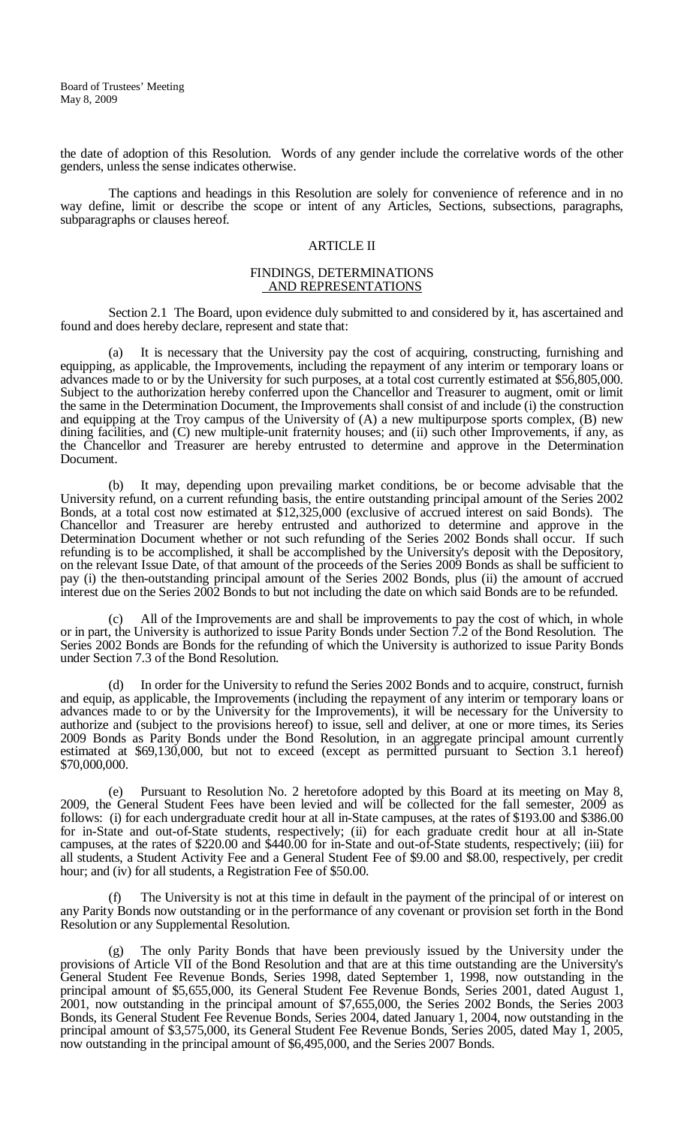the date of adoption of this Resolution. Words of any gender include the correlative words of the other genders, unless the sense indicates otherwise.

The captions and headings in this Resolution are solely for convenience of reference and in no way define, limit or describe the scope or intent of any Articles, Sections, subsections, paragraphs, subparagraphs or clauses hereof.

#### ARTICLE II

#### FINDINGS, DETERMINATIONS AND REPRESENTATIONS

Section 2.1 The Board, upon evidence duly submitted to and considered by it, has ascertained and found and does hereby declare, represent and state that:

(a) It is necessary that the University pay the cost of acquiring, constructing, furnishing and equipping, as applicable, the Improvements, including the repayment of any interim or temporary loans or advances made to or by the University for such purposes, at a total cost currently estimated at \$56,805,000. Subject to the authorization hereby conferred upon the Chancellor and Treasurer to augment, omit or limit the same in the Determination Document, the Improvements shall consist of and include (i) the construction and equipping at the Troy campus of the University of (A) a new multipurpose sports complex, (B) new dining facilities, and (C) new multiple-unit fraternity houses; and (ii) such other Improvements, if any, as the Chancellor and Treasurer are hereby entrusted to determine and approve in the Determination Document.

(b) It may, depending upon prevailing market conditions, be or become advisable that the University refund, on a current refunding basis, the entire outstanding principal amount of the Series 2002 Bonds, at a total cost now estimated at \$12,325,000 (exclusive of accrued interest on said Bonds). The Chancellor and Treasurer are hereby entrusted and authorized to determine and approve in the Determination Document whether or not such refunding of the Series 2002 Bonds shall occur. If such refunding is to be accomplished, it shall be accomplished by the University's deposit with the Depository, on the relevant Issue Date, of that amount of the proceeds of the Series 2009 Bonds as shall be sufficient to pay (i) the then-outstanding principal amount of the Series 2002 Bonds, plus (ii) the amount of accrued interest due on the Series 2002 Bonds to but not including the date on which said Bonds are to be refunded.

(c) All of the Improvements are and shall be improvements to pay the cost of which, in whole or in part, the University is authorized to issue Parity Bonds under Section 7.2 of the Bond Resolution. The Series 2002 Bonds are Bonds for the refunding of which the University is authorized to issue Parity Bonds under Section 7.3 of the Bond Resolution.

(d) In order for the University to refund the Series 2002 Bonds and to acquire, construct, furnish and equip, as applicable, the Improvements (including the repayment of any interim or temporary loans or advances made to or by the University for the Improvements), it will be necessary for the University to authorize and (subject to the provisions hereof) to issue, sell and deliver, at one or more times, its Series 2009 Bonds as Parity Bonds under the Bond Resolution, in an aggregate principal amount currently estimated at \$69,130,000, but not to exceed (except as permitted pursuant to Section 3.1 hereof) \$70,000,000.

(e) Pursuant to Resolution No. 2 heretofore adopted by this Board at its meeting on May 8, 2009, the General Student Fees have been levied and will be collected for the fall semester, 2009 as follows: (i) for each undergraduate credit hour at all in-State campuses, at the rates of \$193.00 and \$386.00 for in-State and out-of-State students, respectively; (ii) for each graduate credit hour at all in-State campuses, at the rates of \$220.00 and \$440.00 for in-State and out-of-State students, respectively; (iii) for all students, a Student Activity Fee and a General Student Fee of \$9.00 and \$8.00, respectively, per credit hour; and (iv) for all students, a Registration Fee of \$50.00.

The University is not at this time in default in the payment of the principal of or interest on any Parity Bonds now outstanding or in the performance of any covenant or provision set forth in the Bond Resolution or any Supplemental Resolution.

The only Parity Bonds that have been previously issued by the University under the provisions of Article VII of the Bond Resolution and that are at this time outstanding are the University's General Student Fee Revenue Bonds, Series 1998, dated September 1, 1998, now outstanding in the principal amount of \$5,655,000, its General Student Fee Revenue Bonds, Series 2001, dated August 1, 2001, now outstanding in the principal amount of \$7,655,000, the Series 2002 Bonds, the Series 2003 Bonds, its General Student Fee Revenue Bonds, Series 2004, dated January 1, 2004, now outstanding in the principal amount of \$3,575,000, its General Student Fee Revenue Bonds, Series 2005, dated May 1, 2005, now outstanding in the principal amount of \$6,495,000, and the Series 2007 Bonds.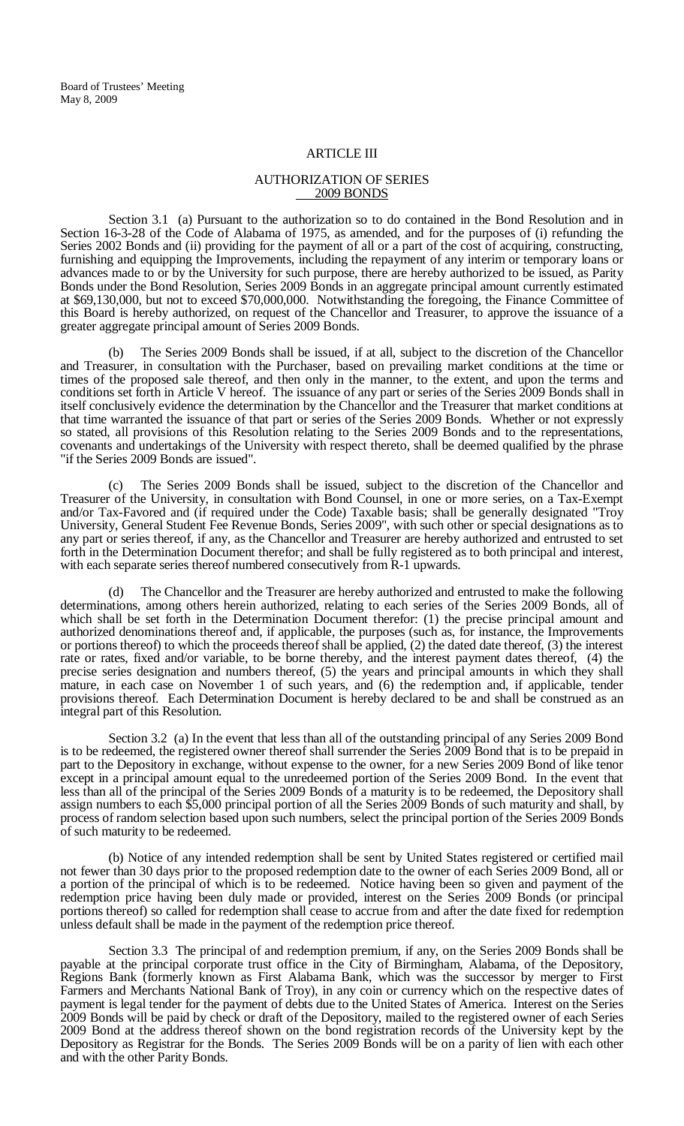#### ARTICLE III

# AUTHORIZATION OF SERIES 2009 BONDS

Section 3.1 (a) Pursuant to the authorization so to do contained in the Bond Resolution and in Section 16-3-28 of the Code of Alabama of 1975, as amended, and for the purposes of (i) refunding the Series 2002 Bonds and (ii) providing for the payment of all or a part of the cost of acquiring, constructing, furnishing and equipping the Improvements, including the repayment of any interim or temporary loans or advances made to or by the University for such purpose, there are hereby authorized to be issued, as Parity Bonds under the Bond Resolution, Series 2009 Bonds in an aggregate principal amount currently estimated at \$69,130,000, but not to exceed \$70,000,000. Notwithstanding the foregoing, the Finance Committee of this Board is hereby authorized, on request of the Chancellor and Treasurer, to approve the issuance of a greater aggregate principal amount of Series 2009 Bonds.

(b) The Series 2009 Bonds shall be issued, if at all, subject to the discretion of the Chancellor and Treasurer, in consultation with the Purchaser, based on prevailing market conditions at the time or times of the proposed sale thereof, and then only in the manner, to the extent, and upon the terms and conditions set forth in Article V hereof. The issuance of any part or series of the Series 2009 Bonds shall in itself conclusively evidence the determination by the Chancellor and the Treasurer that market conditions at that time warranted the issuance of that part or series of the Series 2009 Bonds. Whether or not expressly so stated, all provisions of this Resolution relating to the Series 2009 Bonds and to the representations, covenants and undertakings of the University with respect thereto, shall be deemed qualified by the phrase "if the Series 2009 Bonds are issued".

(c) The Series 2009 Bonds shall be issued, subject to the discretion of the Chancellor and Treasurer of the University, in consultation with Bond Counsel, in one or more series, on a Tax-Exempt and/or Tax-Favored and (if required under the Code) Taxable basis; shall be generally designated "Troy University, General Student Fee Revenue Bonds, Series 2009", with such other or special designations as to any part or series thereof, if any, as the Chancellor and Treasurer are hereby authorized and entrusted to set forth in the Determination Document therefor; and shall be fully registered as to both principal and interest, with each separate series thereof numbered consecutively from  $R-1$  upwards.

(d) The Chancellor and the Treasurer are hereby authorized and entrusted to make the following determinations, among others herein authorized, relating to each series of the Series 2009 Bonds, all of which shall be set forth in the Determination Document therefor: (1) the precise principal amount and authorized denominations thereof and, if applicable, the purposes (such as, for instance, the Improvements or portions thereof) to which the proceeds thereof shall be applied, (2) the dated date thereof, (3) the interest rate or rates, fixed and/or variable, to be borne thereby, and the interest payment dates thereof, (4) the precise series designation and numbers thereof, (5) the years and principal amounts in which they shall mature, in each case on November 1 of such years, and (6) the redemption and, if applicable, tender provisions thereof. Each Determination Document is hereby declared to be and shall be construed as an integral part of this Resolution.

Section 3.2 (a) In the event that less than all of the outstanding principal of any Series 2009 Bond is to be redeemed, the registered owner thereof shall surrender the Series 2009 Bond that is to be prepaid in part to the Depository in exchange, without expense to the owner, for a new Series 2009 Bond of like tenor except in a principal amount equal to the unredeemed portion of the Series 2009 Bond. In the event that less than all of the principal of the Series 2009 Bonds of a maturity is to be redeemed, the Depository shall assign numbers to each \$5,000 principal portion of all the Series 2009 Bonds of such maturity and shall, by process of random selection based upon such numbers, select the principal portion of the Series 2009 Bonds of such maturity to be redeemed.

(b) Notice of any intended redemption shall be sent by United States registered or certified mail not fewer than 30 days prior to the proposed redemption date to the owner of each Series 2009 Bond, all or a portion of the principal of which is to be redeemed. Notice having been so given and payment of the redemption price having been duly made or provided, interest on the Series 2009 Bonds (or principal portions thereof) so called for redemption shall cease to accrue from and after the date fixed for redemption unless default shall be made in the payment of the redemption price thereof.

Section 3.3 The principal of and redemption premium, if any, on the Series 2009 Bonds shall be payable at the principal corporate trust office in the City of Birmingham, Alabama, of the Depository, Regions Bank (formerly known as First Alabama Bank, which was the successor by merger to First Farmers and Merchants National Bank of Troy), in any coin or currency which on the respective dates of payment is legal tender for the payment of debts due to the United States of America. Interest on the Series 2009 Bonds will be paid by check or draft of the Depository, mailed to the registered owner of each Series 2009 Bond at the address thereof shown on the bond registration records of the University kept by the Depository as Registrar for the Bonds. The Series 2009 Bonds will be on a parity of lien with each other and with the other Parity Bonds.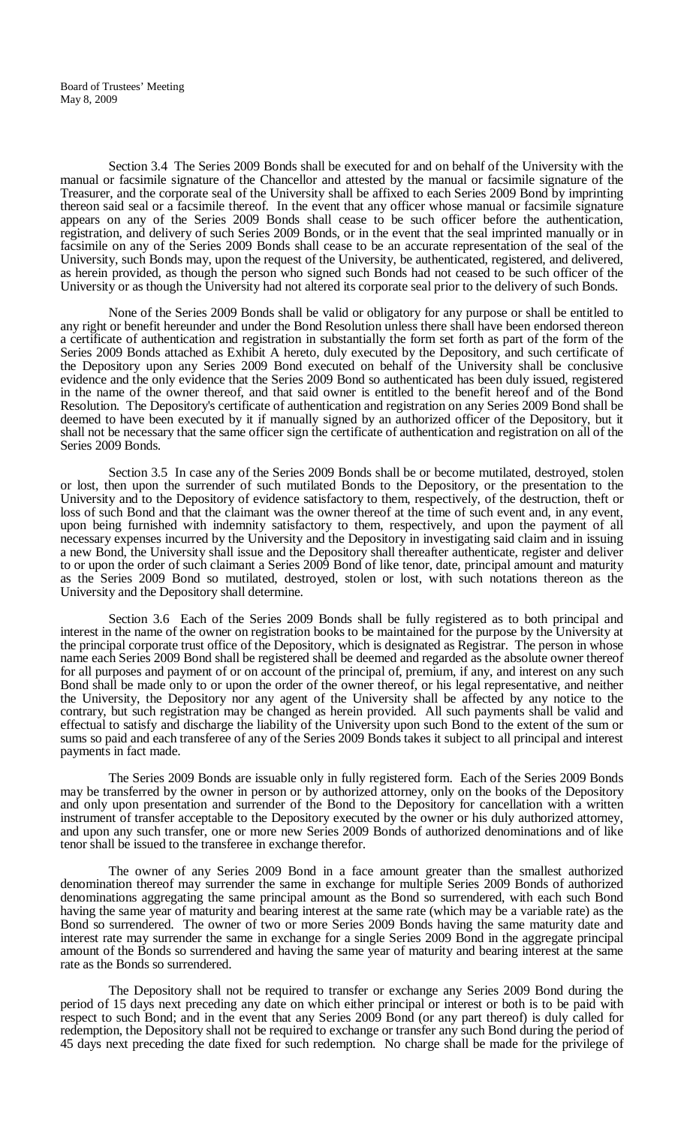Section 3.4 The Series 2009 Bonds shall be executed for and on behalf of the University with the manual or facsimile signature of the Chancellor and attested by the manual or facsimile signature of the Treasurer, and the corporate seal of the University shall be affixed to each Series 2009 Bond by imprinting thereon said seal or a facsimile thereof. In the event that any officer whose manual or facsimile signature appears on any of the Series 2009 Bonds shall cease to be such officer before the authentication, registration, and delivery of such Series 2009 Bonds, or in the event that the seal imprinted manually or in facsimile on any of the Series 2009 Bonds shall cease to be an accurate representation of the seal of the University, such Bonds may, upon the request of the University, be authenticated, registered, and delivered, as herein provided, as though the person who signed such Bonds had not ceased to be such officer of the University or as though the University had not altered its corporate seal prior to the delivery of such Bonds.

None of the Series 2009 Bonds shall be valid or obligatory for any purpose or shall be entitled to any right or benefit hereunder and under the Bond Resolution unless there shall have been endorsed thereon a certificate of authentication and registration in substantially the form set forth as part of the form of the Series 2009 Bonds attached as Exhibit A hereto, duly executed by the Depository, and such certificate of the Depository upon any Series 2009 Bond executed on behalf of the University shall be conclusive evidence and the only evidence that the Series 2009 Bond so authenticated has been duly issued, registered in the name of the owner thereof, and that said owner is entitled to the benefit hereof and of the Bond Resolution. The Depository's certificate of authentication and registration on any Series 2009 Bond shall be deemed to have been executed by it if manually signed by an authorized officer of the Depository, but it shall not be necessary that the same officer sign the certificate of authentication and registration on all of the Series 2009 Bonds.

Section 3.5 In case any of the Series 2009 Bonds shall be or become mutilated, destroyed, stolen or lost, then upon the surrender of such mutilated Bonds to the Depository, or the presentation to the University and to the Depository of evidence satisfactory to them, respectively, of the destruction, theft or loss of such Bond and that the claimant was the owner thereof at the time of such event and, in any event, upon being furnished with indemnity satisfactory to them, respectively, and upon the payment of all necessary expenses incurred by the University and the Depository in investigating said claim and in issuing a new Bond, the University shall issue and the Depository shall thereafter authenticate, register and deliver to or upon the order of such claimant a Series 2009 Bond of like tenor, date, principal amount and maturity as the Series 2009 Bond so mutilated, destroyed, stolen or lost, with such notations thereon as the University and the Depository shall determine.

Section 3.6 Each of the Series 2009 Bonds shall be fully registered as to both principal and interest in the name of the owner on registration books to be maintained for the purpose by the University at the principal corporate trust office of the Depository, which is designated as Registrar. The person in whose name each Series 2009 Bond shall be registered shall be deemed and regarded as the absolute owner thereof for all purposes and payment of or on account of the principal of, premium, if any, and interest on any such Bond shall be made only to or upon the order of the owner thereof, or his legal representative, and neither the University, the Depository nor any agent of the University shall be affected by any notice to the contrary, but such registration may be changed as herein provided. All such payments shall be valid and effectual to satisfy and discharge the liability of the University upon such Bond to the extent of the sum or sums so paid and each transferee of any of the Series 2009 Bonds takes it subject to all principal and interest payments in fact made.

The Series 2009 Bonds are issuable only in fully registered form. Each of the Series 2009 Bonds may be transferred by the owner in person or by authorized attorney, only on the books of the Depository and only upon presentation and surrender of the Bond to the Depository for cancellation with a written instrument of transfer acceptable to the Depository executed by the owner or his duly authorized attorney, and upon any such transfer, one or more new Series 2009 Bonds of authorized denominations and of like tenor shall be issued to the transferee in exchange therefor.

The owner of any Series 2009 Bond in a face amount greater than the smallest authorized denomination thereof may surrender the same in exchange for multiple Series 2009 Bonds of authorized denominations aggregating the same principal amount as the Bond so surrendered, with each such Bond having the same year of maturity and bearing interest at the same rate (which may be a variable rate) as the Bond so surrendered. The owner of two or more Series 2009 Bonds having the same maturity date and interest rate may surrender the same in exchange for a single Series 2009 Bond in the aggregate principal amount of the Bonds so surrendered and having the same year of maturity and bearing interest at the same rate as the Bonds so surrendered.

The Depository shall not be required to transfer or exchange any Series 2009 Bond during the period of 15 days next preceding any date on which either principal or interest or both is to be paid with respect to such Bond; and in the event that any Series 2009 Bond (or any part thereof) is duly called for redemption, the Depository shall not be required to exchange or transfer any such Bond during the period of 45 days next preceding the date fixed for such redemption. No charge shall be made for the privilege of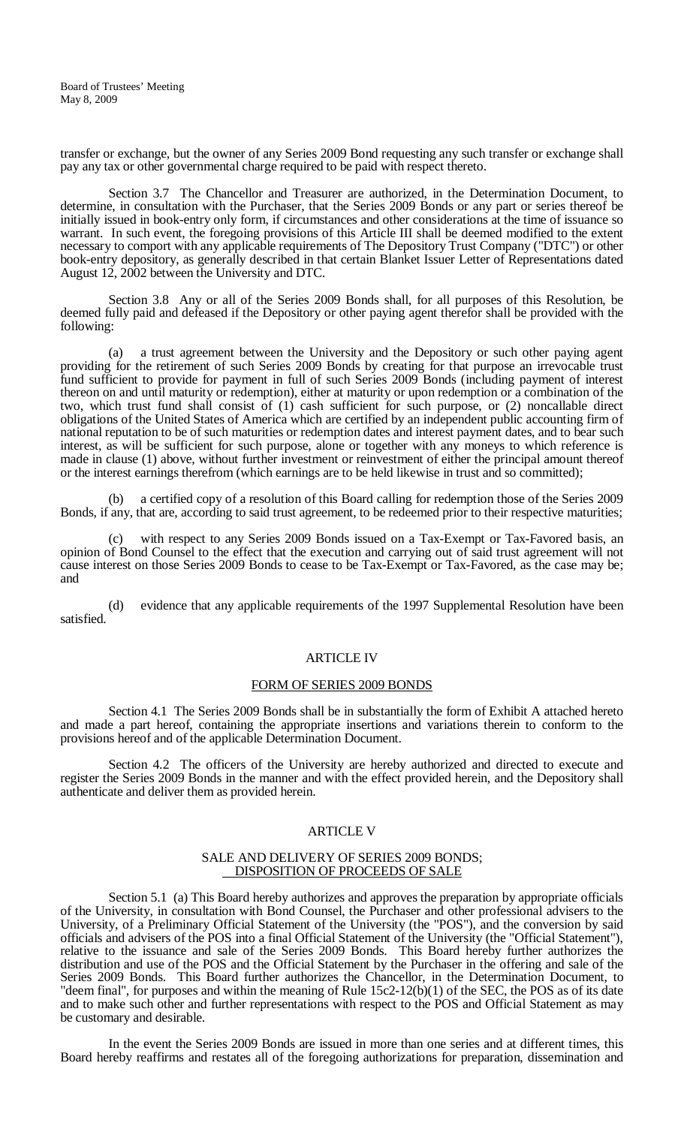transfer or exchange, but the owner of any Series 2009 Bond requesting any such transfer or exchange shall pay any tax or other governmental charge required to be paid with respect thereto.

Section 3.7 The Chancellor and Treasurer are authorized, in the Determination Document, to determine, in consultation with the Purchaser, that the Series 2009 Bonds or any part or series thereof be initially issued in book-entry only form, if circumstances and other considerations at the time of issuance so warrant. In such event, the foregoing provisions of this Article III shall be deemed modified to the extent necessary to comport with any applicable requirements of The Depository Trust Company ("DTC") or other book-entry depository, as generally described in that certain Blanket Issuer Letter of Representations dated August 12, 2002 between the University and DTC.

Section 3.8 Any or all of the Series 2009 Bonds shall, for all purposes of this Resolution, be deemed fully paid and defeased if the Depository or other paying agent therefor shall be provided with the following:

(a) a trust agreement between the University and the Depository or such other paying agent providing for the retirement of such Series 2009 Bonds by creating for that purpose an irrevocable trust fund sufficient to provide for payment in full of such Series 2009 Bonds (including payment of interest thereon on and until maturity or redemption), either at maturity or upon redemption or a combination of the two, which trust fund shall consist of (1) cash sufficient for such purpose, or (2) noncallable direct obligations of the United States of America which are certified by an independent public accounting firm of national reputation to be of such maturities or redemption dates and interest payment dates, and to bear such interest, as will be sufficient for such purpose, alone or together with any moneys to which reference is made in clause (1) above, without further investment or reinvestment of either the principal amount thereof or the interest earnings therefrom (which earnings are to be held likewise in trust and so committed);

(b) a certified copy of a resolution of this Board calling for redemption those of the Series 2009 Bonds, if any, that are, according to said trust agreement, to be redeemed prior to their respective maturities;

(c) with respect to any Series 2009 Bonds issued on a Tax-Exempt or Tax-Favored basis, an opinion of Bond Counsel to the effect that the execution and carrying out of said trust agreement will not cause interest on those Series 2009 Bonds to cease to be Tax-Exempt or Tax-Favored, as the case may be; and

(d) evidence that any applicable requirements of the 1997 Supplemental Resolution have been satisfied.

#### ARTICLE IV

#### FORM OF SERIES 2009 BONDS

Section 4.1 The Series 2009 Bonds shall be in substantially the form of Exhibit A attached hereto and made a part hereof, containing the appropriate insertions and variations therein to conform to the provisions hereof and of the applicable Determination Document.

Section 4.2 The officers of the University are hereby authorized and directed to execute and register the Series 2009 Bonds in the manner and with the effect provided herein, and the Depository shall authenticate and deliver them as provided herein.

#### ARTICLE V

# SALE AND DELIVERY OF SERIES 2009 BONDS;<br>DISPOSITION OF PROCEEDS OF SALE

Section 5.1 (a) This Board hereby authorizes and approves the preparation by appropriate officials of the University, in consultation with Bond Counsel, the Purchaser and other professional advisers to the University, of a Preliminary Official Statement of the University (the "POS"), and the conversion by said officials and advisers of the POS into a final Official Statement of the University (the "Official Statement"), relative to the issuance and sale of the Series 2009 Bonds. This Board hereby further authorizes the distribution and use of the POS and the Official Statement by the Purchaser in the offering and sale of the Series 2009 Bonds. This Board further authorizes the Chancellor, in the Determination Document, to "deem final", for purposes and within the meaning of Rule 15c2-12(b)(1) of the SEC, the POS as of its date and to make such other and further representations with respect to the POS and Official Statement as may be customary and desirable.

In the event the Series 2009 Bonds are issued in more than one series and at different times, this Board hereby reaffirms and restates all of the foregoing authorizations for preparation, dissemination and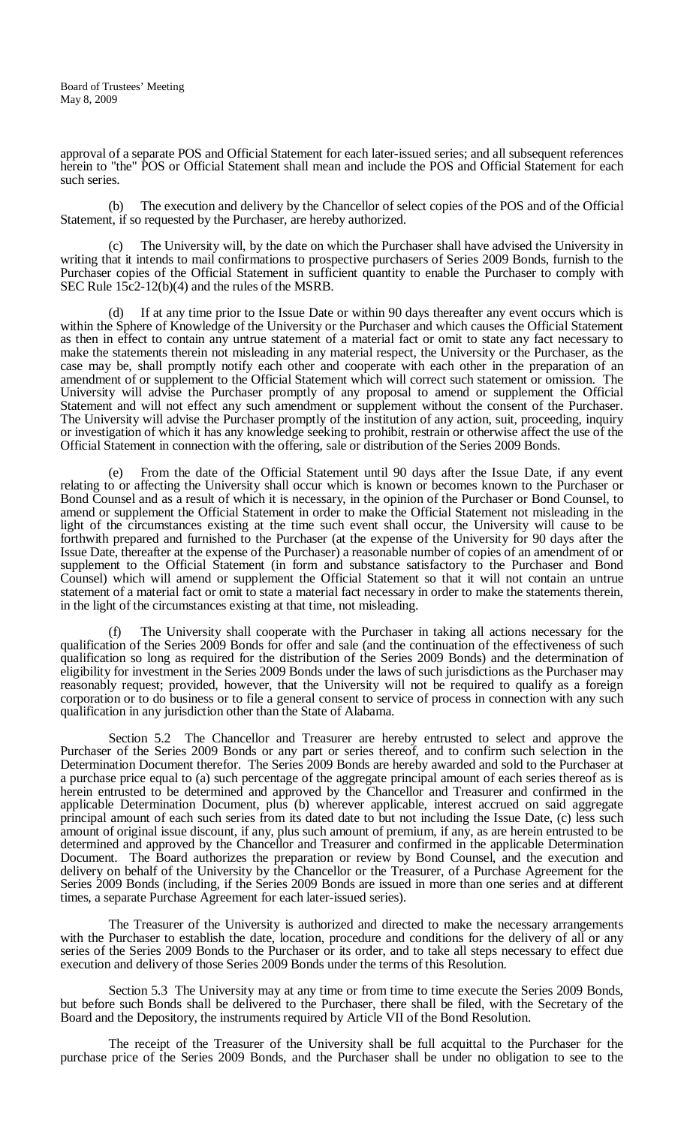approval of a separate POS and Official Statement for each later-issued series; and all subsequent references herein to "the" POS or Official Statement shall mean and include the POS and Official Statement for each such series.

(b) The execution and delivery by the Chancellor of select copies of the POS and of the Official Statement, if so requested by the Purchaser, are hereby authorized.

(c) The University will, by the date on which the Purchaser shall have advised the University in writing that it intends to mail confirmations to prospective purchasers of Series 2009 Bonds, furnish to the Purchaser copies of the Official Statement in sufficient quantity to enable the Purchaser to comply with SEC Rule 15c2-12(b)(4) and the rules of the MSRB.

(d) If at any time prior to the Issue Date or within 90 days thereafter any event occurs which is within the Sphere of Knowledge of the University or the Purchaser and which causes the Official Statement as then in effect to contain any untrue statement of a material fact or omit to state any fact necessary to make the statements therein not misleading in any material respect, the University or the Purchaser, as the case may be, shall promptly notify each other and cooperate with each other in the preparation of an amendment of or supplement to the Official Statement which will correct such statement or omission. The University will advise the Purchaser promptly of any proposal to amend or supplement the Official Statement and will not effect any such amendment or supplement without the consent of the Purchaser. The University will advise the Purchaser promptly of the institution of any action, suit, proceeding, inquiry or investigation of which it has any knowledge seeking to prohibit, restrain or otherwise affect the use of the Official Statement in connection with the offering, sale or distribution of the Series 2009 Bonds.

(e) From the date of the Official Statement until 90 days after the Issue Date, if any event relating to or affecting the University shall occur which is known or becomes known to the Purchaser or Bond Counsel and as a result of which it is necessary, in the opinion of the Purchaser or Bond Counsel, to amend or supplement the Official Statement in order to make the Official Statement not misleading in the light of the circumstances existing at the time such event shall occur, the University will cause to be forthwith prepared and furnished to the Purchaser (at the expense of the University for 90 days after the Issue Date, thereafter at the expense of the Purchaser) a reasonable number of copies of an amendment of or supplement to the Official Statement (in form and substance satisfactory to the Purchaser and Bond Counsel) which will amend or supplement the Official Statement so that it will not contain an untrue statement of a material fact or omit to state a material fact necessary in order to make the statements therein, in the light of the circumstances existing at that time, not misleading.

(f) The University shall cooperate with the Purchaser in taking all actions necessary for the qualification of the Series 2009 Bonds for offer and sale (and the continuation of the effectiveness of such qualification so long as required for the distribution of the Series 2009 Bonds) and the determination of eligibility for investment in the Series 2009 Bonds under the laws of such jurisdictions as the Purchaser may reasonably request; provided, however, that the University will not be required to qualify as a foreign corporation or to do business or to file a general consent to service of process in connection with any such qualification in any jurisdiction other than the State of Alabama.

Section 5.2 The Chancellor and Treasurer are hereby entrusted to select and approve the Purchaser of the Series 2009 Bonds or any part or series thereof, and to confirm such selection in the Determination Document therefor. The Series 2009 Bonds are hereby awarded and sold to the Purchaser at a purchase price equal to (a) such percentage of the aggregate principal amount of each series thereof as is herein entrusted to be determined and approved by the Chancellor and Treasurer and confirmed in the applicable Determination Document, plus (b) wherever applicable, interest accrued on said aggregate principal amount of each such series from its dated date to but not including the Issue Date, (c) less such amount of original issue discount, if any, plus such amount of premium, if any, as are herein entrusted to be determined and approved by the Chancellor and Treasurer and confirmed in the applicable Determination Document. The Board authorizes the preparation or review by Bond Counsel, and the execution and delivery on behalf of the University by the Chancellor or the Treasurer, of a Purchase Agreement for the Series 2009 Bonds (including, if the Series 2009 Bonds are issued in more than one series and at different times, a separate Purchase Agreement for each later-issued series).

The Treasurer of the University is authorized and directed to make the necessary arrangements with the Purchaser to establish the date, location, procedure and conditions for the delivery of all or any series of the Series 2009 Bonds to the Purchaser or its order, and to take all steps necessary to effect due execution and delivery of those Series 2009 Bonds under the terms of this Resolution.

Section 5.3 The University may at any time or from time to time execute the Series 2009 Bonds, but before such Bonds shall be delivered to the Purchaser, there shall be filed, with the Secretary of the Board and the Depository, the instruments required by Article VII of the Bond Resolution.

The receipt of the Treasurer of the University shall be full acquittal to the Purchaser for the purchase price of the Series 2009 Bonds, and the Purchaser shall be under no obligation to see to the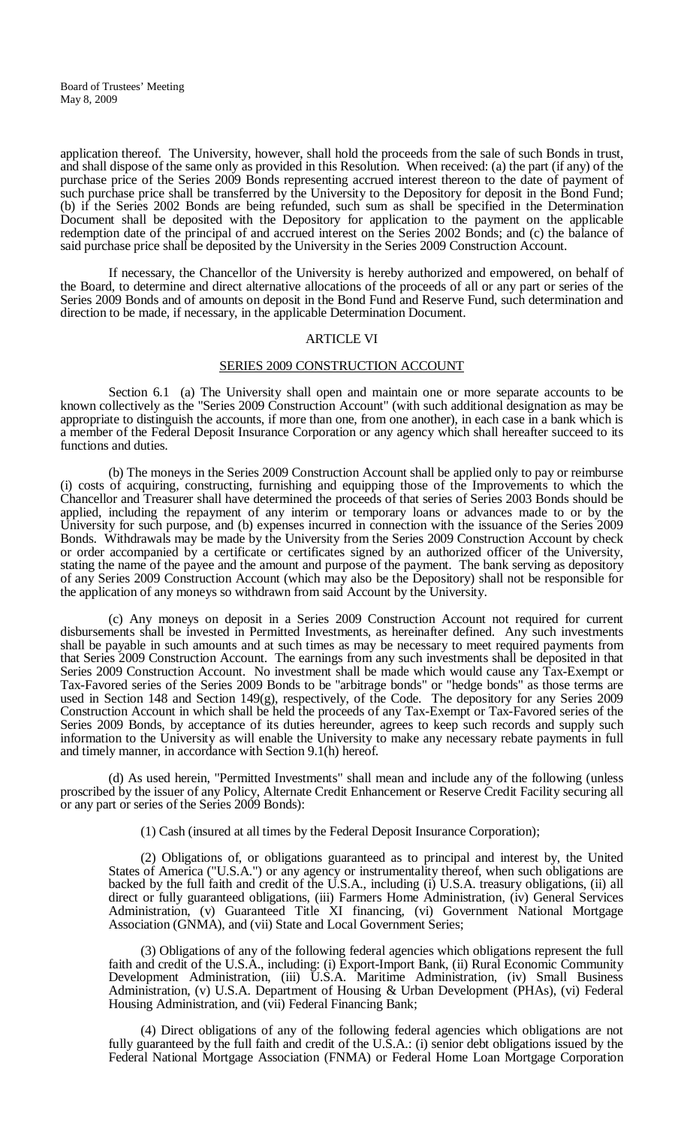application thereof. The University, however, shall hold the proceeds from the sale of such Bonds in trust, and shall dispose of the same only as provided in this Resolution. When received: (a) the part (if any) of the purchase price of the Series 2009 Bonds representing accrued interest thereon to the date of payment of such purchase price shall be transferred by the University to the Depository for deposit in the Bond Fund; (b) if the Series 2002 Bonds are being refunded, such sum as shall be specified in the Determination Document shall be deposited with the Depository for application to the payment on the applicable redemption date of the principal of and accrued interest on the Series 2002 Bonds; and (c) the balance of said purchase price shall be deposited by the University in the Series 2009 Construction Account.

If necessary, the Chancellor of the University is hereby authorized and empowered, on behalf of the Board, to determine and direct alternative allocations of the proceeds of all or any part or series of the Series 2009 Bonds and of amounts on deposit in the Bond Fund and Reserve Fund, such determination and direction to be made, if necessary, in the applicable Determination Document.

#### ARTICLE VI

#### SERIES 2009 CONSTRUCTION ACCOUNT

Section 6.1 (a) The University shall open and maintain one or more separate accounts to be known collectively as the "Series 2009 Construction Account" (with such additional designation as may be appropriate to distinguish the accounts, if more than one, from one another), in each case in a bank which is a member of the Federal Deposit Insurance Corporation or any agency which shall hereafter succeed to its functions and duties.

(b) The moneys in the Series 2009 Construction Account shall be applied only to pay or reimburse (i) costs of acquiring, constructing, furnishing and equipping those of the Improvements to which the Chancellor and Treasurer shall have determined the proceeds of that series of Series 2003 Bonds should be applied, including the repayment of any interim or temporary loans or advances made to or by the University for such purpose, and (b) expenses incurred in connection with the issuance of the Series 2009 Bonds. Withdrawals may be made by the University from the Series 2009 Construction Account by check or order accompanied by a certificate or certificates signed by an authorized officer of the University, stating the name of the payee and the amount and purpose of the payment. The bank serving as depository of any Series 2009 Construction Account (which may also be the Depository) shall not be responsible for the application of any moneys so withdrawn from said Account by the University.

(c) Any moneys on deposit in a Series 2009 Construction Account not required for current disbursements shall be invested in Permitted Investments, as hereinafter defined. Any such investments shall be payable in such amounts and at such times as may be necessary to meet required payments from that Series 2009 Construction Account. The earnings from any such investments shall be deposited in that Series 2009 Construction Account. No investment shall be made which would cause any Tax-Exempt or Tax-Favored series of the Series 2009 Bonds to be "arbitrage bonds" or "hedge bonds" as those terms are used in Section 148 and Section 149(g), respectively, of the Code. The depository for any Series 2009 Construction Account in which shall be held the proceeds of any Tax-Exempt or Tax-Favored series of the Series 2009 Bonds, by acceptance of its duties hereunder, agrees to keep such records and supply such information to the University as will enable the University to make any necessary rebate payments in full and timely manner, in accordance with Section 9.1(h) hereof.

(d) As used herein, "Permitted Investments" shall mean and include any of the following (unless proscribed by the issuer of any Policy, Alternate Credit Enhancement or Reserve Credit Facility securing all or any part or series of the Series 2009 Bonds):

(1) Cash (insured at all times by the Federal Deposit Insurance Corporation);

(2) Obligations of, or obligations guaranteed as to principal and interest by, the United States of America ("U.S.A.") or any agency or instrumentality thereof, when such obligations are backed by the full faith and credit of the U.S.A., including (i) U.S.A. treasury obligations, (ii) all direct or fully guaranteed obligations, (iii) Farmers Home Administration, (iv) General Services Administration, (v) Guaranteed Title XI financing, (vi) Government National Mortgage Association (GNMA), and (vii) State and Local Government Series;

(3) Obligations of any of the following federal agencies which obligations represent the full faith and credit of the U.S.A., including: (i) Export-Import Bank, (ii) Rural Economic Community Development Administration, (iii) U.S.A. Maritime Administration, (iv) Small Business Administration, (v) U.S.A. Department of Housing & Urban Development (PHAs), (vi) Federal Housing Administration, and (vii) Federal Financing Bank;

(4) Direct obligations of any of the following federal agencies which obligations are not fully guaranteed by the full faith and credit of the U.S.A.: (i) senior debt obligations issued by the Federal National Mortgage Association (FNMA) or Federal Home Loan Mortgage Corporation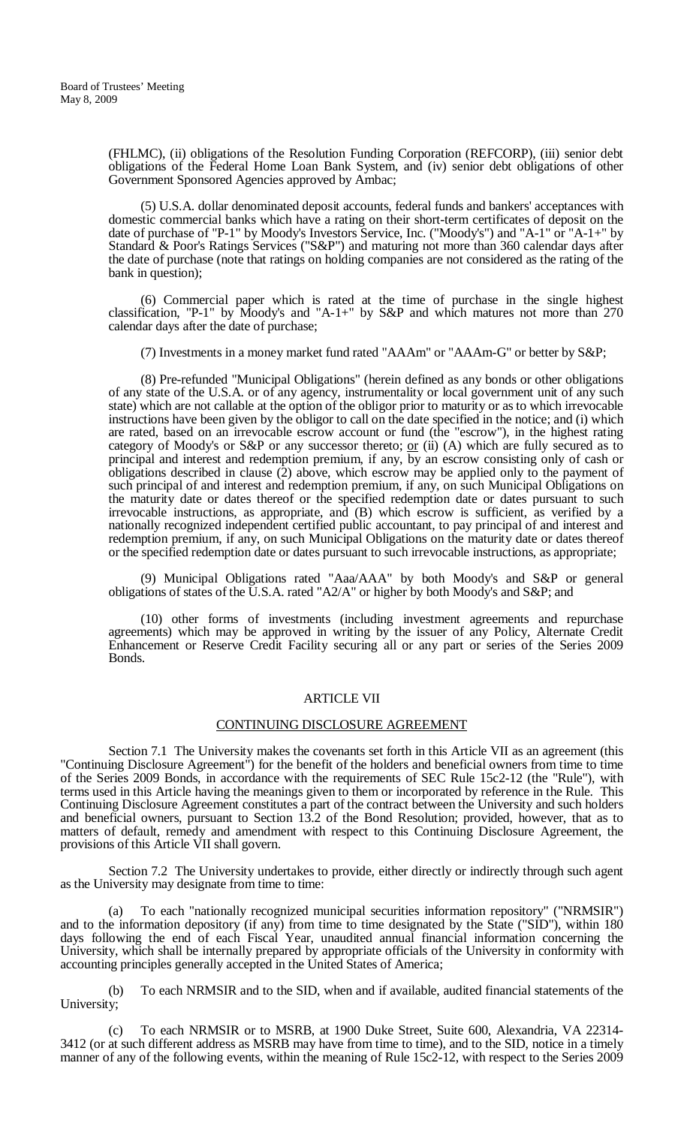(FHLMC), (ii) obligations of the Resolution Funding Corporation (REFCORP), (iii) senior debt obligations of the Federal Home Loan Bank System, and (iv) senior debt obligations of other Government Sponsored Agencies approved by Ambac;

(5) U.S.A. dollar denominated deposit accounts, federal funds and bankers' acceptances with domestic commercial banks which have a rating on their short-term certificates of deposit on the date of purchase of "P-1" by Moody's Investors Service, Inc. ("Moody's") and "A-1" or "A-1+" by Standard & Poor's Ratings Services ("S&P") and maturing not more than 360 calendar days after the date of purchase (note that ratings on holding companies are not considered as the rating of the bank in question);

(6) Commercial paper which is rated at the time of purchase in the single highest classification, "P-1" by Moody's and "A-1+" by S&P and which matures not more than 270 calendar days after the date of purchase;

(7) Investments in a money market fund rated "AAAm" or "AAAm-G" or better by S&P;

(8) Pre-refunded "Municipal Obligations" (herein defined as any bonds or other obligations of any state of the U.S.A. or of any agency, instrumentality or local government unit of any such state) which are not callable at the option of the obligor prior to maturity or as to which irrevocable instructions have been given by the obligor to call on the date specified in the notice; and (i) which are rated, based on an irrevocable escrow account or fund (the "escrow"), in the highest rating category of Moody's or S&P or any successor thereto;  $or$  (ii) (A) which are fully secured as to</u> principal and interest and redemption premium, if any, by an escrow consisting only of cash or obligations described in clause (2) above, which escrow may be applied only to the payment of such principal of and interest and redemption premium, if any, on such Municipal Obligations on the maturity date or dates thereof or the specified redemption date or dates pursuant to such irrevocable instructions, as appropriate, and (B) which escrow is sufficient, as verified by a nationally recognized independent certified public accountant, to pay principal of and interest and redemption premium, if any, on such Municipal Obligations on the maturity date or dates thereof or the specified redemption date or dates pursuant to such irrevocable instructions, as appropriate;

(9) Municipal Obligations rated "Aaa/AAA" by both Moody's and S&P or general obligations of states of the U.S.A. rated "A2/A" or higher by both Moody's and S&P; and

(10) other forms of investments (including investment agreements and repurchase agreements) which may be approved in writing by the issuer of any Policy, Alternate Credit Enhancement or Reserve Credit Facility securing all or any part or series of the Series 2009 Bonds.

#### ARTICLE VII

#### CONTINUING DISCLOSURE AGREEMENT

Section 7.1 The University makes the covenants set forth in this Article VII as an agreement (this "Continuing Disclosure Agreement") for the benefit of the holders and beneficial owners from time to time of the Series 2009 Bonds, in accordance with the requirements of SEC Rule 15c2-12 (the "Rule"), with terms used in this Article having the meanings given to them or incorporated by reference in the Rule. This Continuing Disclosure Agreement constitutes a part of the contract between the University and such holders and beneficial owners, pursuant to Section 13.2 of the Bond Resolution; provided, however, that as to matters of default, remedy and amendment with respect to this Continuing Disclosure Agreement, the provisions of this Article VII shall govern.

Section 7.2 The University undertakes to provide, either directly or indirectly through such agent as the University may designate from time to time:

(a) To each "nationally recognized municipal securities information repository" ("NRMSIR") and to the information depository (if any) from time to time designated by the State ("SID"), within 180 days following the end of each Fiscal Year, unaudited annual financial information concerning the University, which shall be internally prepared by appropriate officials of the University in conformity with accounting principles generally accepted in the United States of America;

(b) To each NRMSIR and to the SID, when and if available, audited financial statements of the University;

(c) To each NRMSIR or to MSRB, at 1900 Duke Street, Suite 600, Alexandria, VA 22314- 3412 (or at such different address as MSRB may have from time to time), and to the SID, notice in a timely manner of any of the following events, within the meaning of Rule 15c2-12, with respect to the Series 2009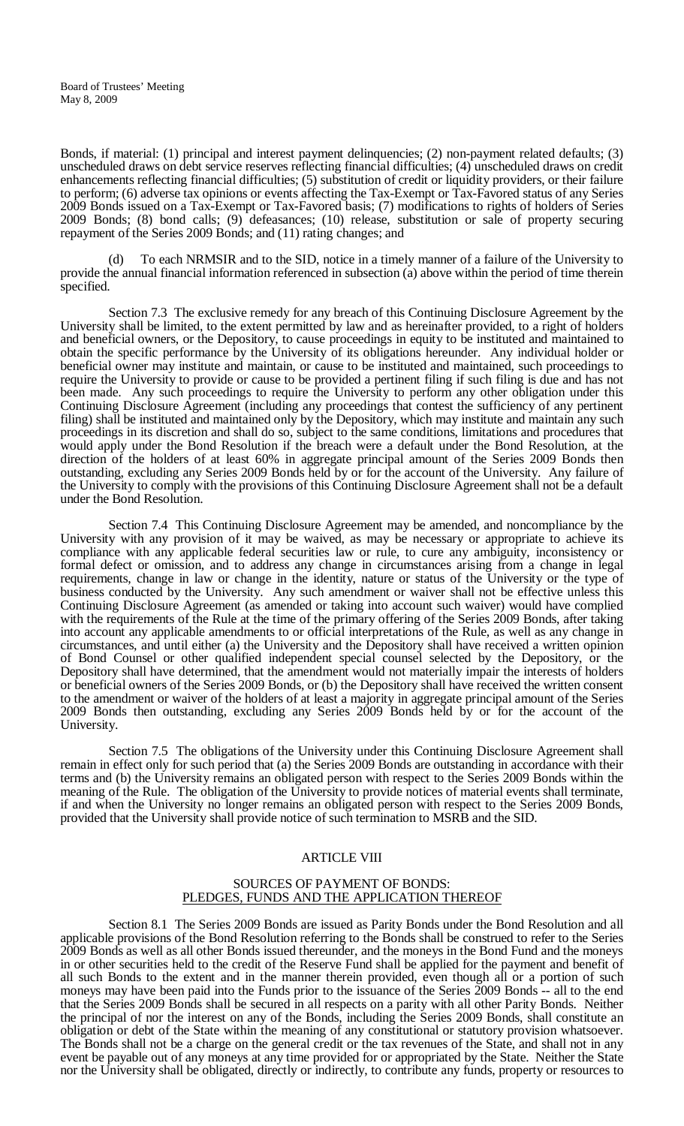Bonds, if material: (1) principal and interest payment delinquencies; (2) non-payment related defaults; (3) unscheduled draws on debt service reserves reflecting financial difficulties; (4) unscheduled draws on credit enhancements reflecting financial difficulties; (5) substitution of credit or liquidity providers, or their failure to perform; (6) adverse tax opinions or events affecting the Tax-Exempt or Tax-Favored status of any Series 2009 Bonds issued on a Tax-Exempt or Tax-Favored basis; (7) modifications to rights of holders of Series 2009 Bonds; (8) bond calls; (9) defeasances; (10) release, substitution or sale of property securing repayment of the Series 2009 Bonds; and (11) rating changes; and

(d) To each NRMSIR and to the SID, notice in a timely manner of a failure of the University to provide the annual financial information referenced in subsection (a) above within the period of time therein specified.

Section 7.3 The exclusive remedy for any breach of this Continuing Disclosure Agreement by the University shall be limited, to the extent permitted by law and as hereinafter provided, to a right of holders and beneficial owners, or the Depository, to cause proceedings in equity to be instituted and maintained to obtain the specific performance by the University of its obligations hereunder. Any individual holder or beneficial owner may institute and maintain, or cause to be instituted and maintained, such proceedings to require the University to provide or cause to be provided a pertinent filing if such filing is due and has not been made. Any such proceedings to require the University to perform any other obligation under this Continuing Disclosure Agreement (including any proceedings that contest the sufficiency of any pertinent filing) shall be instituted and maintained only by the Depository, which may institute and maintain any such proceedings in its discretion and shall do so, subject to the same conditions, limitations and procedures that would apply under the Bond Resolution if the breach were a default under the Bond Resolution, at the direction of the holders of at least 60% in aggregate principal amount of the Series 2009 Bonds then outstanding, excluding any Series 2009 Bonds held by or for the account of the University. Any failure of the University to comply with the provisions of this Continuing Disclosure Agreement shall not be a default under the Bond Resolution.

Section 7.4 This Continuing Disclosure Agreement may be amended, and noncompliance by the University with any provision of it may be waived, as may be necessary or appropriate to achieve its compliance with any applicable federal securities law or rule, to cure any ambiguity, inconsistency or formal defect or omission, and to address any change in circumstances arising from a change in legal requirements, change in law or change in the identity, nature or status of the University or the type of business conducted by the University. Any such amendment or waiver shall not be effective unless this Continuing Disclosure Agreement (as amended or taking into account such waiver) would have complied with the requirements of the Rule at the time of the primary offering of the Series 2009 Bonds, after taking into account any applicable amendments to or official interpretations of the Rule, as well as any change in circumstances, and until either (a) the University and the Depository shall have received a written opinion of Bond Counsel or other qualified independent special counsel selected by the Depository, or the Depository shall have determined, that the amendment would not materially impair the interests of holders or beneficial owners of the Series 2009 Bonds, or (b) the Depository shall have received the written consent to the amendment or waiver of the holders of at least a majority in aggregate principal amount of the Series 2009 Bonds then outstanding, excluding any Series 2009 Bonds held by or for the account of the University.

Section 7.5 The obligations of the University under this Continuing Disclosure Agreement shall remain in effect only for such period that (a) the Series 2009 Bonds are outstanding in accordance with their terms and (b) the University remains an obligated person with respect to the Series 2009 Bonds within the meaning of the Rule. The obligation of the University to provide notices of material events shall terminate, if and when the University no longer remains an obligated person with respect to the Series 2009 Bonds, provided that the University shall provide notice of such termination to MSRB and the SID.

#### ARTICLE VIII

#### SOURCES OF PAYMENT OF BONDS: PLEDGES, FUNDS AND THE APPLICATION THEREOF

Section 8.1 The Series 2009 Bonds are issued as Parity Bonds under the Bond Resolution and all applicable provisions of the Bond Resolution referring to the Bonds shall be construed to refer to the Series 2009 Bonds as well as all other Bonds issued thereunder, and the moneys in the Bond Fund and the moneys in or other securities held to the credit of the Reserve Fund shall be applied for the payment and benefit of all such Bonds to the extent and in the manner therein provided, even though all or a portion of such moneys may have been paid into the Funds prior to the issuance of the Series 2009 Bonds -- all to the end that the Series 2009 Bonds shall be secured in all respects on a parity with all other Parity Bonds. Neither the principal of nor the interest on any of the Bonds, including the Series 2009 Bonds, shall constitute an obligation or debt of the State within the meaning of any constitutional or statutory provision whatsoever. The Bonds shall not be a charge on the general credit or the tax revenues of the State, and shall not in any event be payable out of any moneys at any time provided for or appropriated by the State. Neither the State nor the University shall be obligated, directly or indirectly, to contribute any funds, property or resources to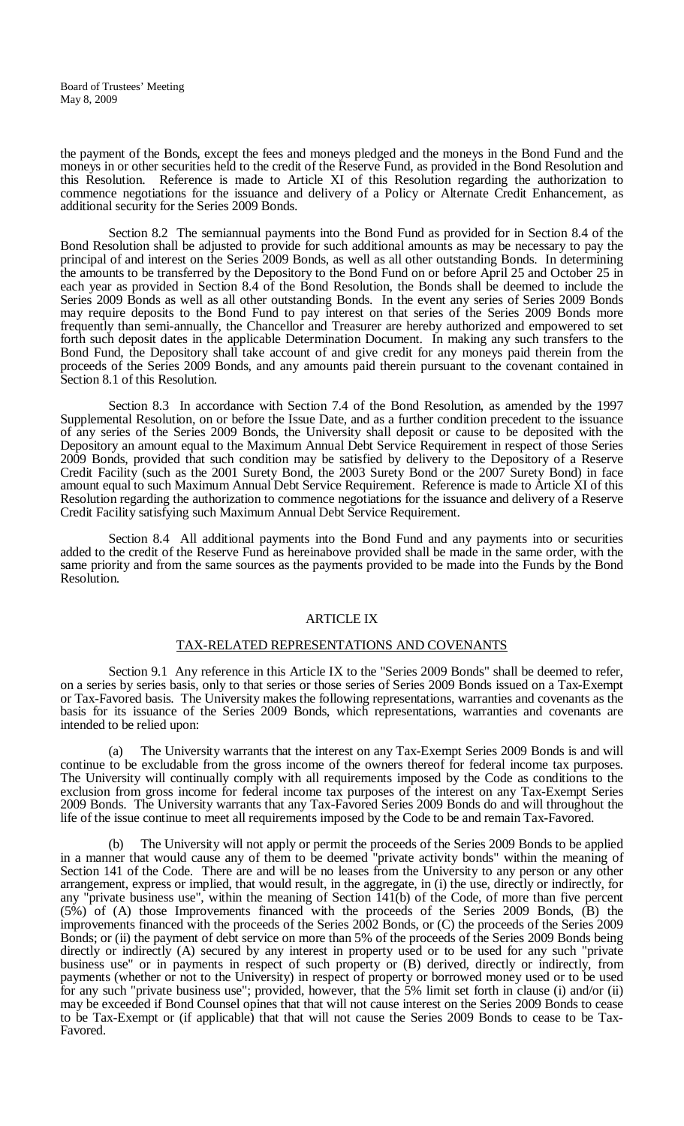the payment of the Bonds, except the fees and moneys pledged and the moneys in the Bond Fund and the moneys in or other securities held to the credit of the Reserve Fund, as provided in the Bond Resolution and this Resolution. Reference is made to Article XI of this Resolution regarding the authorization to commence negotiations for the issuance and delivery of a Policy or Alternate Credit Enhancement, as additional security for the Series 2009 Bonds.

Section 8.2 The semiannual payments into the Bond Fund as provided for in Section 8.4 of the Bond Resolution shall be adjusted to provide for such additional amounts as may be necessary to pay the principal of and interest on the Series 2009 Bonds, as well as all other outstanding Bonds. In determining the amounts to be transferred by the Depository to the Bond Fund on or before April 25 and October 25 in each year as provided in Section 8.4 of the Bond Resolution, the Bonds shall be deemed to include the Series 2009 Bonds as well as all other outstanding Bonds. In the event any series of Series 2009 Bonds may require deposits to the Bond Fund to pay interest on that series of the Series 2009 Bonds more frequently than semi-annually, the Chancellor and Treasurer are hereby authorized and empowered to set forth such deposit dates in the applicable Determination Document. In making any such transfers to the Bond Fund, the Depository shall take account of and give credit for any moneys paid therein from the proceeds of the Series 2009 Bonds, and any amounts paid therein pursuant to the covenant contained in Section 8.1 of this Resolution.

Section 8.3 In accordance with Section 7.4 of the Bond Resolution, as amended by the 1997 Supplemental Resolution, on or before the Issue Date, and as a further condition precedent to the issuance of any series of the Series 2009 Bonds, the University shall deposit or cause to be deposited with the Depository an amount equal to the Maximum Annual Debt Service Requirement in respect of those Series 2009 Bonds, provided that such condition may be satisfied by delivery to the Depository of a Reserve Credit Facility (such as the 2001 Surety Bond, the 2003 Surety Bond or the 2007 Surety Bond) in face amount equal to such Maximum Annual Debt Service Requirement. Reference is made to Article XI of this Resolution regarding the authorization to commence negotiations for the issuance and delivery of a Reserve Credit Facility satisfying such Maximum Annual Debt Service Requirement.

Section 8.4 All additional payments into the Bond Fund and any payments into or securities added to the credit of the Reserve Fund as hereinabove provided shall be made in the same order, with the same priority and from the same sources as the payments provided to be made into the Funds by the Bond Resolution.

#### ARTICLE IX

#### TAX-RELATED REPRESENTATIONS AND COVENANTS

Section 9.1 Any reference in this Article IX to the "Series 2009 Bonds" shall be deemed to refer, on a series by series basis, only to that series or those series of Series 2009 Bonds issued on a Tax-Exempt or Tax-Favored basis. The University makes the following representations, warranties and covenants as the basis for its issuance of the Series 2009 Bonds, which representations, warranties and covenants are intended to be relied upon:

(a) The University warrants that the interest on any Tax-Exempt Series 2009 Bonds is and will continue to be excludable from the gross income of the owners thereof for federal income tax purposes. The University will continually comply with all requirements imposed by the Code as conditions to the exclusion from gross income for federal income tax purposes of the interest on any Tax-Exempt Series 2009 Bonds. The University warrants that any Tax-Favored Series 2009 Bonds do and will throughout the life of the issue continue to meet all requirements imposed by the Code to be and remain Tax-Favored.

The University will not apply or permit the proceeds of the Series 2009 Bonds to be applied in a manner that would cause any of them to be deemed "private activity bonds" within the meaning of Section 141 of the Code. There are and will be no leases from the University to any person or any other arrangement, express or implied, that would result, in the aggregate, in (i) the use, directly or indirectly, for any "private business use", within the meaning of Section 141(b) of the Code, of more than five percent (5%) of (A) those Improvements financed with the proceeds of the Series 2009 Bonds, (B) the improvements financed with the proceeds of the Series 2002 Bonds, or (C) the proceeds of the Series 2009 Bonds; or (ii) the payment of debt service on more than 5% of the proceeds of the Series 2009 Bonds being directly or indirectly (A) secured by any interest in property used or to be used for any such "private" business use" or in payments in respect of such property or (B) derived, directly or indirectly, from payments (whether or not to the University) in respect of property or borrowed money used or to be used for any such "private business use"; provided, however, that the 5% limit set forth in clause (i) and/or (ii) may be exceeded if Bond Counsel opines that that will not cause interest on the Series 2009 Bonds to cease to be Tax-Exempt or (if applicable) that that will not cause the Series 2009 Bonds to cease to be Tax- Favored.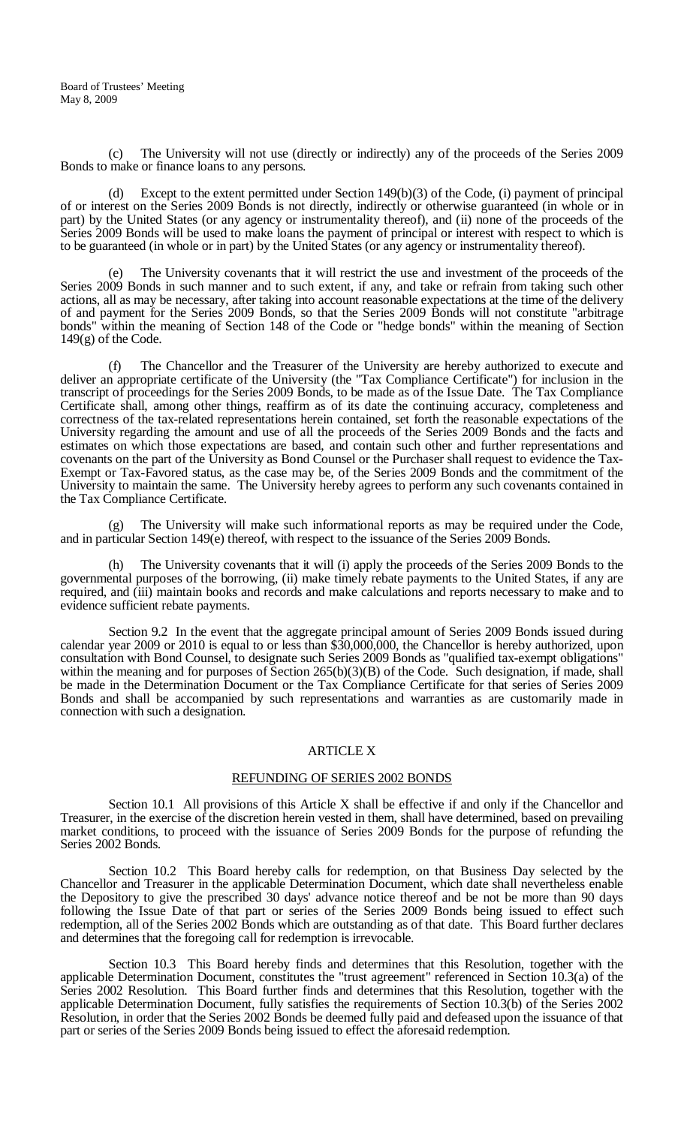(c) The University will not use (directly or indirectly) any of the proceeds of the Series 2009 Bonds to make or finance loans to any persons.

(d) Except to the extent permitted under Section 149(b)(3) of the Code, (i) payment of principal of or interest on the Series 2009 Bonds is not directly, indirectly or otherwise guaranteed (in whole or in part) by the United States (or any agency or instrumentality thereof), and (ii) none of the proceeds of the Series 2009 Bonds will be used to make loans the payment of principal or interest with respect to which is to be guaranteed (in whole or in part) by the United States (or any agency or instrumentality thereof).

(e) The University covenants that it will restrict the use and investment of the proceeds of the Series 2009 Bonds in such manner and to such extent, if any, and take or refrain from taking such other actions, all as may be necessary, after taking into account reasonable expectations at the time of the delivery of and payment for the Series 2009 Bonds, so that the Series 2009 Bonds will not constitute "arbitrage bonds" within the meaning of Section 148 of the Code or "hedge bonds" within the meaning of Section 149(g) of the Code.

(f) The Chancellor and the Treasurer of the University are hereby authorized to execute and deliver an appropriate certificate of the University (the "Tax Compliance Certificate") for inclusion in the transcript of proceedings for the Series 2009 Bonds, to be made as of the Issue Date. The Tax Compliance Certificate shall, among other things, reaffirm as of its date the continuing accuracy, completeness and correctness of the tax-related representations herein contained, set forth the reasonable expectations of the University regarding the amount and use of all the proceeds of the Series 2009 Bonds and the facts and estimates on which those expectations are based, and contain such other and further representations and covenants on the part of the University as Bond Counsel or the Purchaser shall request to evidence the Tax-Exempt or Tax- Favored status, as the case may be, of the Series 2009 Bonds and the commitment of the University to maintain the same. The University hereby agrees to perform any such covenants contained in the Tax Compliance Certificate.

(g) The University will make such informational reports as may be required under the Code, and in particular Section 149(e) thereof, with respect to the issuance of the Series 2009 Bonds.

The University covenants that it will (i) apply the proceeds of the Series 2009 Bonds to the governmental purposes of the borrowing, (ii) make timely rebate payments to the United States, if any are required, and (iii) maintain books and records and make calculations and reports necessary to make and to evidence sufficient rebate payments.

Section 9.2 In the event that the aggregate principal amount of Series 2009 Bonds issued during calendar year 2009 or 2010 is equal to or less than \$30,000,000, the Chancellor is hereby authorized, upon consultation with Bond Counsel, to designate such Series 2009 Bonds as "qualified tax-exempt obligations" within the meaning and for purposes of Section 265(b)(3)(B) of the Code. Such designation, if made, shall be made in the Determination Document or the Tax Compliance Certificate for that series of Series 2009 Bonds and shall be accompanied by such representations and warranties as are customarily made in connection with such a designation.

#### ARTICLE X

## REFUNDING OF SERIES 2002 BONDS

Section 10.1 All provisions of this Article X shall be effective if and only if the Chancellor and Treasurer, in the exercise of the discretion herein vested in them, shall have determined, based on prevailing market conditions, to proceed with the issuance of Series 2009 Bonds for the purpose of refunding the Series 2002 Bonds.

Section 10.2 This Board hereby calls for redemption, on that Business Day selected by the Chancellor and Treasurer in the applicable Determination Document, which date shall nevertheless enable the Depository to give the prescribed 30 days' advance notice thereof and be not be more than 90 days following the Issue Date of that part or series of the Series 2009 Bonds being issued to effect such redemption, all of the Series 2002 Bonds which are outstanding as of that date. This Board further declares and determines that the foregoing call for redemption is irrevocable.

Section 10.3 This Board hereby finds and determines that this Resolution, together with the applicable Determination Document, constitutes the "trust agreement" referenced in Section 10.3(a) of the Series 2002 Resolution. This Board further finds and determines that this Resolution, together with the applicable Determination Document, fully satisfies the requirements of Section 10.3(b) of the Series 2002 Resolution, in order that the Series 2002 Bonds be deemed fully paid and defeased upon the issuance of that part or series of the Series 2009 Bonds being issued to effect the aforesaid redemption.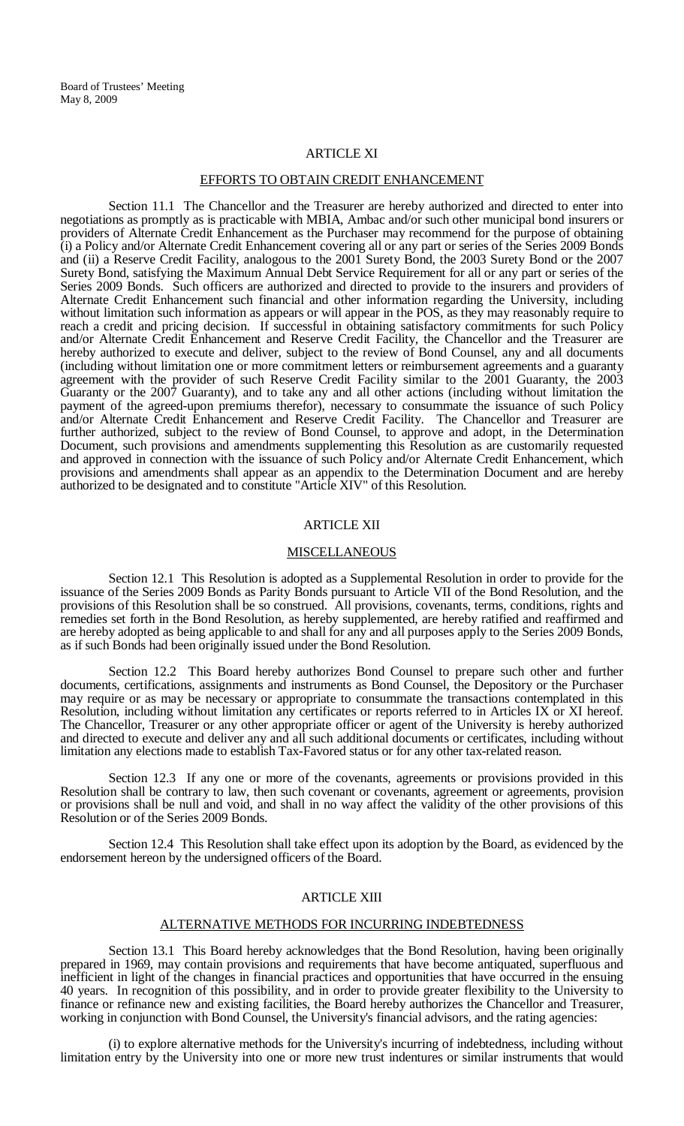#### ARTICLE XI

#### EFFORTS TO OBTAIN CREDIT ENHANCEMENT

Section 11.1 The Chancellor and the Treasurer are hereby authorized and directed to enter into negotiations as promptly as is practicable with MBIA, Ambac and/or such other municipal bond insurers or providers of Alternate Credit Enhancement as the Purchaser may recommend for the purpose of obtaining (i) a Policy and/or Alternate Credit Enhancement covering all or any part or series of the Series 2009 Bonds and (ii) a Reserve Credit Facility, analogous to the 2001 Surety Bond, the 2003 Surety Bond or the 2007 Surety Bond, satisfying the Maximum Annual Debt Service Requirement for all or any part or series of the Series 2009 Bonds. Such officers are authorized and directed to provide to the insurers and providers of Alternate Credit Enhancement such financial and other information regarding the University, including without limitation such information as appears or will appear in the POS, as they may reasonably require to reach a credit and pricing decision. If successful in obtaining satisfactory commitments for such Policy and/or Alternate Credit Enhancement and Reserve Credit Facility, the Chancellor and the Treasurer are hereby authorized to execute and deliver, subject to the review of Bond Counsel, any and all documents (including without limitation one or more commitment letters or reimbursement agreements and a guaranty agreement with the provider of such Reserve Credit Facility similar to the 2001 Guaranty, the 2003 Guaranty or the 2007 Guaranty), and to take any and all other actions (including without limitation the payment of the agreed-upon premiums therefor), necessary to consummate the issuance of such Policy and/or Alternate Credit Enhancement and Reserve Credit Facility. The Chancellor and Treasurer are further authorized, subject to the review of Bond Counsel, to approve and adopt, in the Determination Document, such provisions and amendments supplementing this Resolution as are customarily requested and approved in connection with the issuance of such Policy and/or Alternate Credit Enhancement, which provisions and amendments shall appear as an appendix to the Determination Document and are hereby authorized to be designated and to constitute "Article XIV" of this Resolution.

#### ARTICLE XII

#### **MISCELLANEOUS**

Section 12.1 This Resolution is adopted as a Supplemental Resolution in order to provide for the issuance of the Series 2009 Bonds as Parity Bonds pursuant to Article VII of the Bond Resolution, and the provisions of this Resolution shall be so construed. All provisions, covenants, terms, conditions, rights and remedies set forth in the Bond Resolution, as hereby supplemented, are hereby ratified and reaffirmed and are hereby adopted as being applicable to and shall for any and all purposes apply to the Series 2009 Bonds, as if such Bonds had been originally issued under the Bond Resolution.

Section 12.2 This Board hereby authorizes Bond Counsel to prepare such other and further documents, certifications, assignments and instruments as Bond Counsel, the Depository or the Purchaser may require or as may be necessary or appropriate to consummate the transactions contemplated in this Resolution, including without limitation any certificates or reports referred to in Articles IX or XI hereof. The Chancellor, Treasurer or any other appropriate officer or agent of the University is hereby authorized and directed to execute and deliver any and all such additional documents or certificates, including without limitation any elections made to establish Tax-Favored status or for any other tax-related reason.

Section 12.3 If any one or more of the covenants, agreements or provisions provided in this Resolution shall be contrary to law, then such covenant or covenants, agreement or agreements, provision or provisions shall be null and void, and shall in no way affect the validity of the other provisions of this Resolution or of the Series 2009 Bonds.

Section 12.4 This Resolution shall take effect upon its adoption by the Board, as evidenced by the endorsement hereon by the undersigned officers of the Board.

### ARTICLE XIII

#### ALTERNATIVE METHODS FOR INCURRING INDEBTEDNESS

Section 13.1 This Board hereby acknowledges that the Bond Resolution, having been originally prepared in 1969, may contain provisions and requirements that have become antiquated, superfluous and inefficient in light of the changes in financial practices and opportunities that have occurred in the ensuing 40 years. In recognition of this possibility, and in order to provide greater flexibility to the University to finance or refinance new and existing facilities, the Board hereby authorizes the Chancellor and Treasurer, working in conjunction with Bond Counsel, the University's financial advisors, and the rating agencies:

(i) to explore alternative methods for the University's incurring of indebtedness, including without limitation entry by the University into one or more new trust indentures or similar instruments that would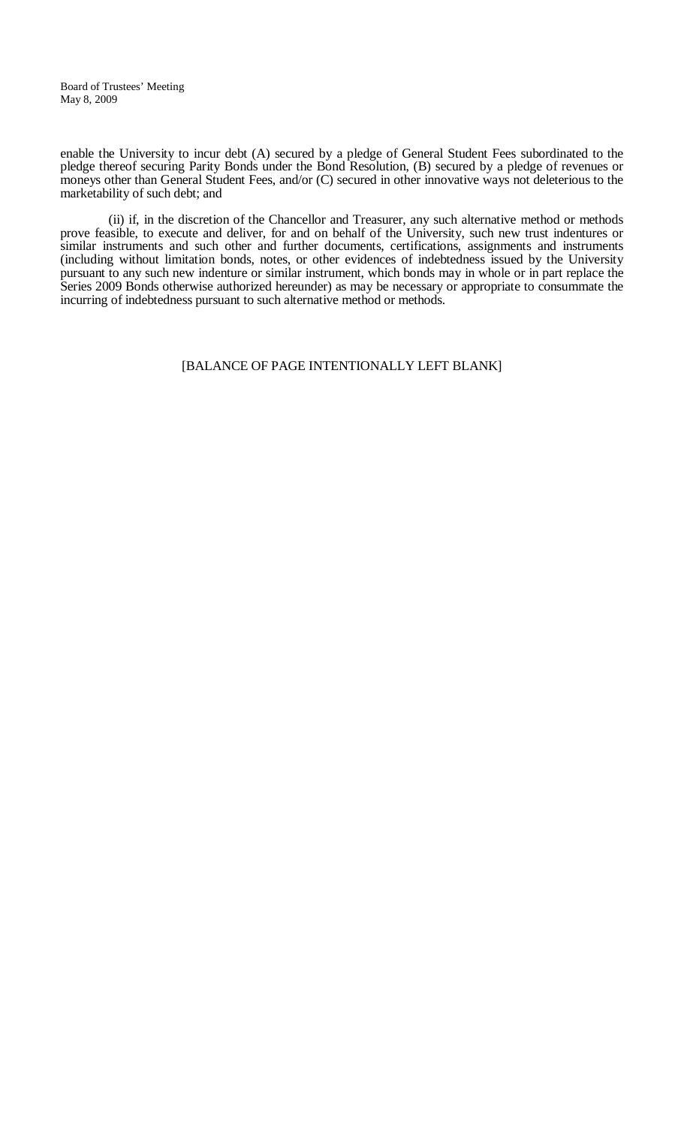enable the University to incur debt (A) secured by a pledge of General Student Fees subordinated to the pledge thereof securing Parity Bonds under the Bond Resolution, (B) secured by a pledge of revenues or moneys other than General Student Fees, and/or (C) secured in other innovative ways not deleterious to the marketability of such debt; and

(ii) if, in the discretion of the Chancellor and Treasurer, any such alternative method or methods prove feasible, to execute and deliver, for and on behalf of the University, such new trust indentures or similar instruments and such other and further documents, certifications, assignments and instruments (including without limitation bonds, notes, or other evidences of indebtedness issued by the University pursuant to any such new indenture or similar instrument, which bonds may in whole or in part replace the Series 2009 Bonds otherwise authorized hereunder) as may be necessary or appropriate to consummate the incurring of indebtedness pursuant to such alternative method or methods.

## [BALANCE OF PAGE INTENTIONALLY LEFT BLANK]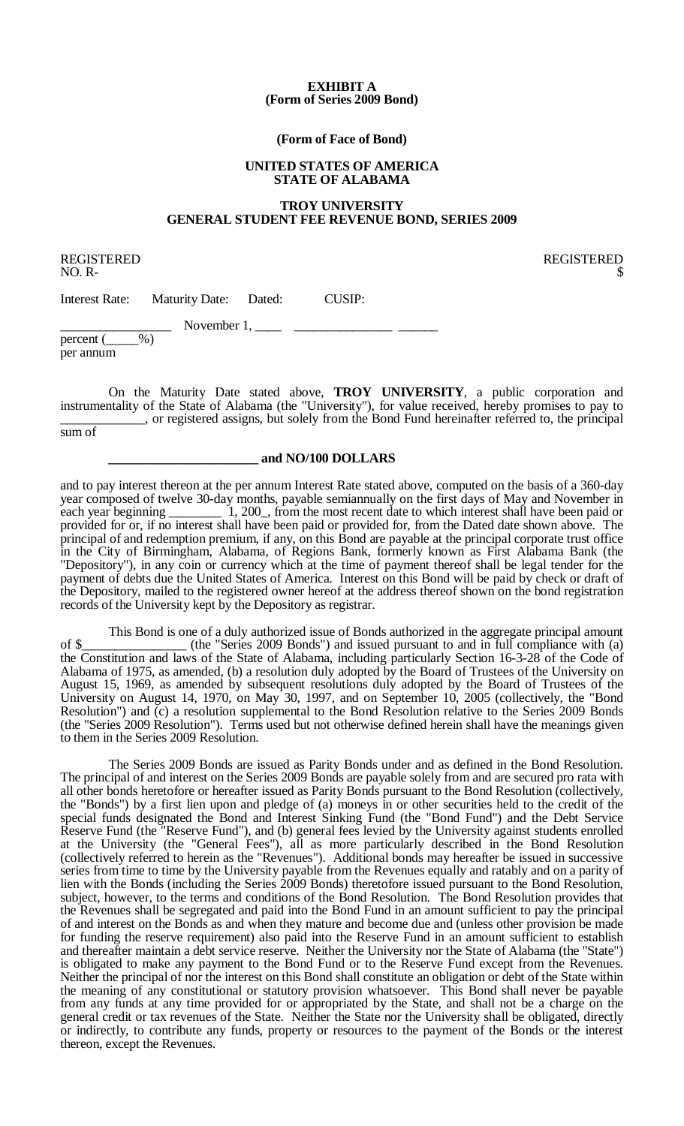#### **EXHIBIT A (Form of Series 2009 Bond)**

#### **(Form of Face of Bond)**

#### **UNITED STATES OF AMERICA STATE OF ALABAMA**

## **TROY UNIVERSITY GENERAL STUDENT FEE REVENUE BOND, SERIES 2009**

REGISTERED REGISTERED

 $NO. R $$ 

Interest Rate: Maturity Date: Dated: CUSIP:

November 1,  $\frac{1}{\sqrt{2}}$ 

percent ( per annum

On the Maturity Date stated above, **TROY UNIVERSITY**, a public corporation and instrumentality of the State of Alabama (the "University"), for value received, hereby promises to pay to \_\_\_\_\_\_\_\_\_\_\_\_\_, or registered assigns, but solely from the Bond Fund hereinafter referred to, the principal

sum of

#### **\_\_\_\_\_\_\_\_\_\_\_\_\_\_\_\_\_\_\_\_\_\_\_ and NO/100 DOLLARS**

and to pay interest thereon at the per annum Interest Rate stated above, computed on the basis of a 360-day year composed of twelve 30-day months, payable semiannually on the first days of May and November in each vear beginning 1, 200, from the most recent date to which interest shall have been paid or  $\dot{1}$ , 200<sub>,</sub> from the most recent date to which interest shall have been paid or provided for or, if no interest shall have been paid or provided for, from the Dated date shown above. The principal of and redemption premium, if any, on this Bond are payable at the principal corporate trust office in the City of Birmingham, Alabama, of Regions Bank, formerly known as First Alabama Bank (the "Depository"), in any coin or currency which at the time of payment thereof shall be legal tender for the payment of debts due the United States of America. Interest on this Bond will be paid by check or draft of the Depository, mailed to the registered owner hereof at the address thereof shown on the bond registration records of the University kept by the Depository as registrar.

This Bond is one of a duly authorized issue of Bonds authorized in the aggregate principal amount of \$\_\_\_\_\_\_\_\_\_\_\_\_\_\_\_\_ (the "Series 2009 Bonds") and issued pursuant to and in full compliance with (a) the Constitution and laws of the State of Alabama, including particularly Section 16-3-28 of the Code of Alabama of 1975, as amended, (b) a resolution duly adopted by the Board of Trustees of the University on August 15, 1969, as amended by subsequent resolutions duly adopted by the Board of Trustees of the University on August 14, 1970, on May 30, 1997, and on September 10, 2005 (collectively, the "Bond Resolution") and (c) a resolution supplemental to the Bond Resolution relative to the Series 2009 Bonds (the "Series 2009 Resolution"). Terms used but not otherwise defined herein shall have the meanings given to them in the Series 2009 Resolution.

The Series 2009 Bonds are issued as Parity Bonds under and as defined in the Bond Resolution. The principal of and interest on the Series 2009 Bonds are payable solely from and are secured pro rata with all other bonds heretofore or hereafter issued as Parity Bonds pursuant to the Bond Resolution (collectively, the "Bonds") by a first lien upon and pledge of (a) moneys in or other securities held to the credit of the special funds designated the Bond and Interest Sinking Fund (the "Bond Fund") and the Debt Service Reserve Fund (the "Reserve Fund"), and (b) general fees levied by the University against students enrolled at the University (the "General Fees"), all as more particularly described in the Bond Resolution (collectively referred to herein as the "Revenues"). Additional bonds may hereafter be issued in successive series from time to time by the University payable from the Revenues equally and ratably and on a parity of lien with the Bonds (including the Series 2009 Bonds) theretofore issued pursuant to the Bond Resolution, subject, however, to the terms and conditions of the Bond Resolution. The Bond Resolution provides that the Revenues shall be segregated and paid into the Bond Fund in an amount sufficient to pay the principal of and interest on the Bonds as and when they mature and become due and (unless other provision be made for funding the reserve requirement) also paid into the Reserve Fund in an amount sufficient to establish and thereafter maintain a debt service reserve. Neither the University nor the State of Alabama (the "State") is obligated to make any payment to the Bond Fund or to the Reserve Fund except from the Revenues. Neither the principal of nor the interest on this Bond shall constitute an obligation or debt of the State within the meaning of any constitutional or statutory provision whatsoever. This Bond shall never be payable from any funds at any time provided for or appropriated by the State, and shall not be a charge on the general credit or tax revenues of the State. Neither the State nor the University shall be obligated, directly or indirectly, to contribute any funds, property or resources to the payment of the Bonds or the interest thereon, except the Revenues.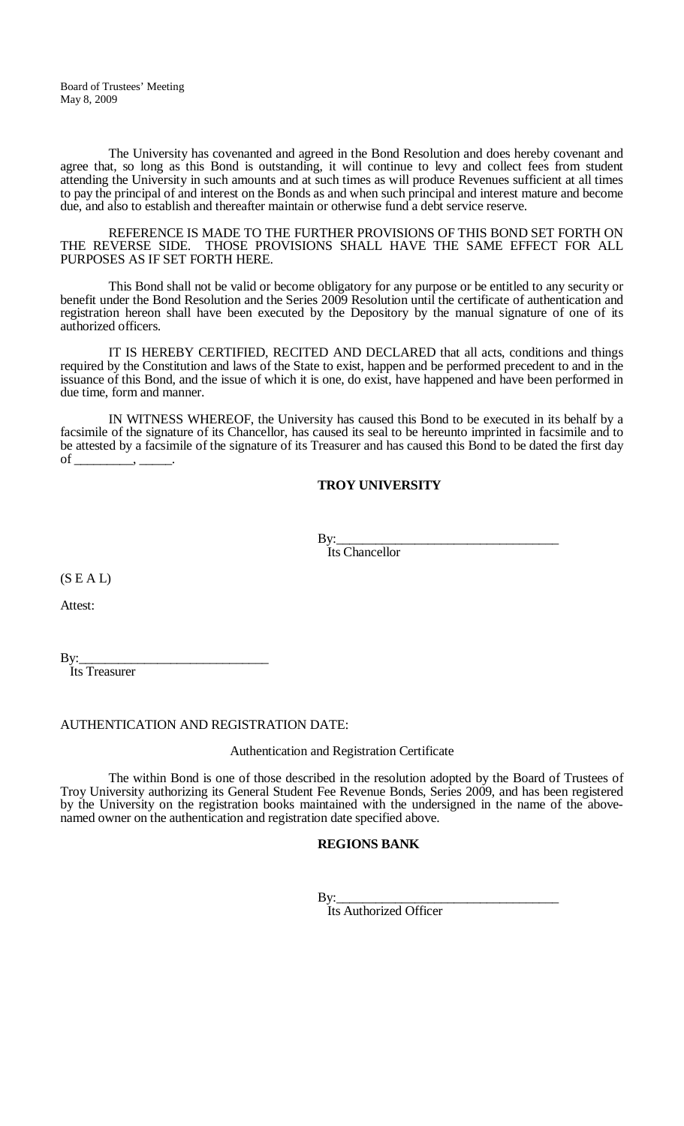The University has covenanted and agreed in the Bond Resolution and does hereby covenant and agree that, so long as this Bond is outstanding, it will continue to levy and collect fees from student attending the University in such amounts and at such times as will produce Revenues sufficient at all times to pay the principal of and interest on the Bonds as and when such principal and interest mature and become due, and also to establish and thereafter maintain or otherwise fund a debt service reserve.

REFERENCE IS MADE TO THE FURTHER PROVISIONS OF THIS BOND SET FORTH ON THE REVERSE SIDE. THOSE PROVISIONS SHALL HAVE THE SAME EFFECT FOR ALL PURPOSES AS IF SET FORTH HERE.

This Bond shall not be valid or become obligatory for any purpose or be entitled to any security or benefit under the Bond Resolution and the Series 2009 Resolution until the certificate of authentication and registration hereon shall have been executed by the Depository by the manual signature of one of its authorized officers.

IT IS HEREBY CERTIFIED, RECITED AND DECLARED that all acts, conditions and things required by the Constitution and laws of the State to exist, happen and be performed precedent to and in the issuance of this Bond, and the issue of which it is one, do exist, have happened and have been performed in due time, form and manner.

IN WITNESS WHEREOF, the University has caused this Bond to be executed in its behalf by a facsimile of the signature of its Chancellor, has caused its seal to be hereunto imprinted in facsimile and to be attested by a facsimile of the signature of its Treasurer and has caused this Bond to be dated the first day  $\overline{\text{of}}$ 

## **TROY UNIVERSITY**

By:\_\_\_\_\_\_\_\_\_\_\_\_\_\_\_\_\_\_\_\_\_\_\_\_\_\_\_\_\_\_\_\_\_\_

Its Chancellor

 $(S E A L)$ 

Attest:

By:\_\_\_\_\_\_\_\_\_\_\_\_\_\_\_\_\_\_\_\_\_\_\_\_\_\_\_\_\_ Its Treasurer

## AUTHENTICATION AND REGISTRATION DATE:

Authentication and Registration Certificate

The within Bond is one of those described in the resolution adopted by the Board of Trustees of Troy University authorizing its General Student Fee Revenue Bonds, Series 2009, and has been registered by the University on the registration books maintained with the undersigned in the name of the above- named owner on the authentication and registration date specified above.

## **REGIONS BANK**

By:\_\_\_\_\_\_\_\_\_\_\_\_\_\_\_\_\_\_\_\_\_\_\_\_\_\_\_\_\_\_\_\_\_\_

Its Authorized Officer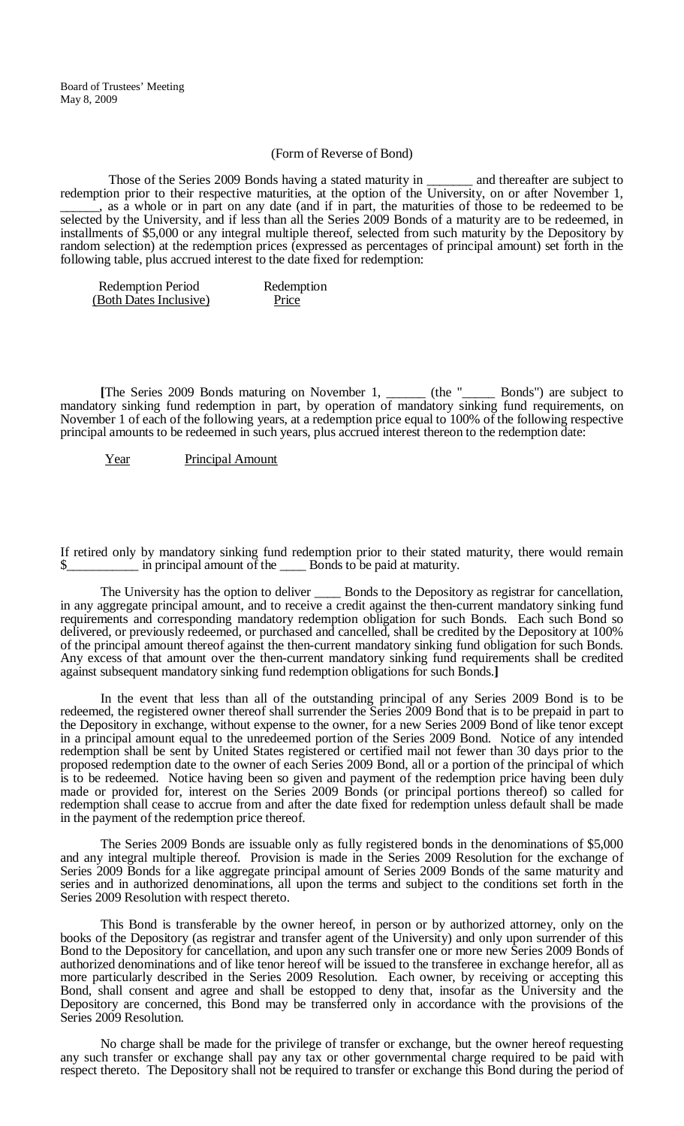#### (Form of Reverse of Bond)

Those of the Series 2009 Bonds having a stated maturity in \_\_\_\_\_\_\_\_ and thereafter are subject to redemption prior to their respective maturities, at the option of the University, on or after November 1, all as a whole or in part on any date (and if in part, the maturities of those to be redeemed to be selected by the University, and if less than all the Series 2009 Bonds of a maturity are to be redeemed, in installments of \$5,000 or any integral multiple thereof, selected from such maturity by the Depository by random selection) at the redemption prices (expressed as percentages of principal amount) set forth in the following table, plus accrued interest to the date fixed for redemption:

| <b>Redemption Period</b> | Redemption |
|--------------------------|------------|
| (Both Dates Inclusive)   | Price      |

**[**The Series 2009 Bonds maturing on November 1, \_\_\_\_\_\_ (the "\_\_\_\_\_ Bonds") are subject to mandatory sinking fund redemption in part, by operation of mandatory sinking fund requirements, on November 1 of each of the following years, at a redemption price equal to 100% of the following respective principal amounts to be redeemed in such years, plus accrued interest thereon to the redemption date:

Year Principal Amount

If retired only by mandatory sinking fund redemption prior to their stated maturity, there would remain in principal amount of the \_\_\_\_\_ Bonds to be paid at maturity.

The University has the option to deliver \_\_\_\_\_\_ Bonds to the Depository as registrar for cancellation, in any aggregate principal amount, and to receive a credit against the then-current mandatory sinking fund requirements and corresponding mandatory redemption obligation for such Bonds. Each such Bond so delivered, or previously redeemed, or purchased and cancelled, shall be credited by the Depository at 100% of the principal amount thereof against the then-current mandatory sinking fund obligation for such Bonds. Any excess of that amount over the then-current mandatory sinking fund requirements shall be credited against subsequent mandatory sinking fund redemption obligations for such Bonds.**]**

In the event that less than all of the outstanding principal of any Series 2009 Bond is to be redeemed, the registered owner thereof shall surrender the Series 2009 Bond that is to be prepaid in part to the Depository in exchange, without expense to the owner, for a new Series 2009 Bond of like tenor except in a principal amount equal to the unredeemed portion of the Series 2009 Bond. Notice of any intended redemption shall be sent by United States registered or certified mail not fewer than 30 days prior to the proposed redemption date to the owner of each Series 2009 Bond, all or a portion of the principal of which is to be redeemed. Notice having been so given and payment of the redemption price having been duly made or provided for, interest on the Series 2009 Bonds (or principal portions thereof) so called for redemption shall cease to accrue from and after the date fixed for redemption unless default shall be made in the payment of the redemption price thereof.

The Series 2009 Bonds are issuable only as fully registered bonds in the denominations of \$5,000 and any integral multiple thereof. Provision is made in the Series 2009 Resolution for the exchange of Series 2009 Bonds for a like aggregate principal amount of Series 2009 Bonds of the same maturity and series and in authorized denominations, all upon the terms and subject to the conditions set forth in the Series 2009 Resolution with respect thereto.

This Bond is transferable by the owner hereof, in person or by authorized attorney, only on the books of the Depository (as registrar and transfer agent of the University) and only upon surrender of this Bond to the Depository for cancellation, and upon any such transfer one or more new Series 2009 Bonds of authorized denominations and of like tenor hereof will be issued to the transferee in exchange herefor, all as more particularly described in the Series 2009 Resolution. Each owner, by receiving or accepting this Bond, shall consent and agree and shall be estopped to deny that, insofar as the University and the Depository are concerned, this Bond may be transferred only in accordance with the provisions of the Series 2009 Resolution.

No charge shall be made for the privilege of transfer or exchange, but the owner hereof requesting any such transfer or exchange shall pay any tax or other governmental charge required to be paid with respect thereto. The Depository shall not be required to transfer or exchange this Bond during the period of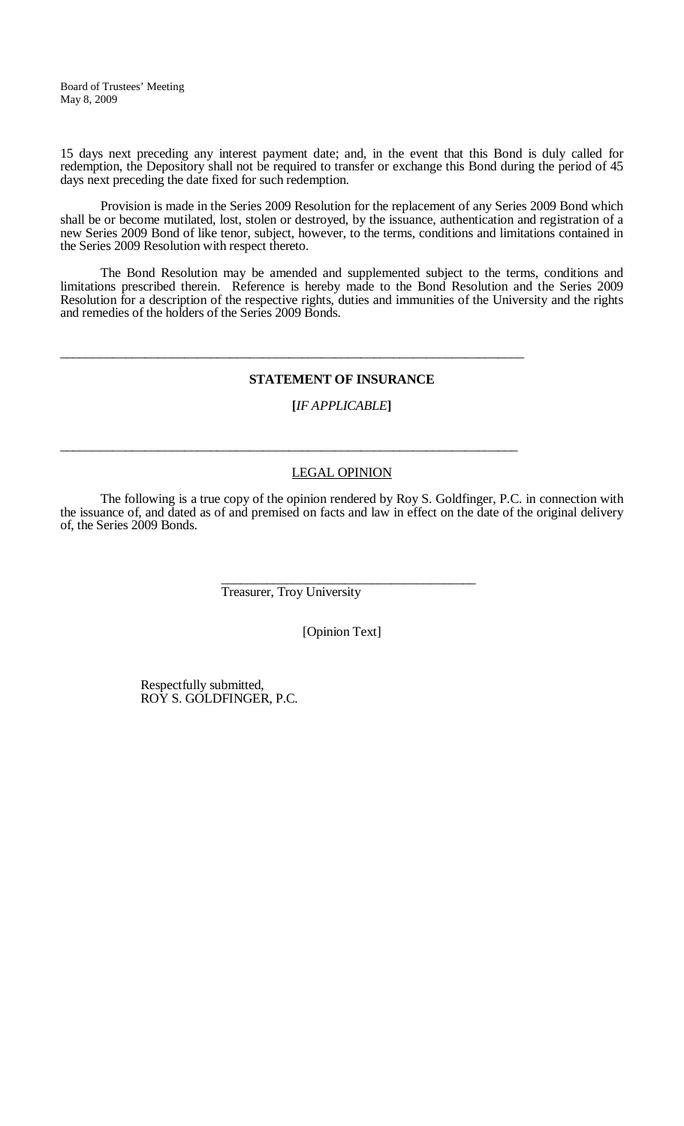15 days next preceding any interest payment date; and, in the event that this Bond is duly called for redemption, the Depository shall not be required to transfer or exchange this Bond during the period of 45 days next preceding the date fixed for such redemption.

Provision is made in the Series 2009 Resolution for the replacement of any Series 2009 Bond which shall be or become mutilated, lost, stolen or destroyed, by the issuance, authentication and registration of a new Series 2009 Bond of like tenor, subject, however, to the terms, conditions and limitations contained in the Series 2009 Resolution with respect thereto.

The Bond Resolution may be amended and supplemented subject to the terms, conditions and limitations prescribed therein. Reference is hereby made to the Bond Resolution and the Series 2009 Resolution for a description of the respective rights, duties and immunities of the University and the rights and remedies of the holders of the Series 2009 Bonds.

## **STATEMENT OF INSURANCE**

## **[***IF APPLICABLE***]**

## LEGAL OPINION

The following is a true copy of the opinion rendered by Roy S. Goldfinger, P.C. in connection with the issuance of, and dated as of and premised on facts and law in effect on the date of the original delivery of, the Series 2009 Bonds.

> \_\_\_\_\_\_\_\_\_\_\_\_\_\_\_\_\_\_\_\_\_\_\_\_\_\_\_\_\_\_\_\_\_\_\_\_\_\_\_ Treasurer, Troy University

\_\_\_\_\_\_\_\_\_\_\_\_\_\_\_\_\_\_\_\_\_\_\_\_\_\_\_\_\_\_\_\_\_\_\_\_\_\_\_\_\_\_\_\_\_\_\_\_\_\_\_\_\_\_\_\_\_\_\_\_\_\_\_\_\_\_\_\_\_\_\_

\_\_\_\_\_\_\_\_\_\_\_\_\_\_\_\_\_\_\_\_\_\_\_\_\_\_\_\_\_\_\_\_\_\_\_\_\_\_\_\_\_\_\_\_\_\_\_\_\_\_\_\_\_\_\_\_\_\_\_\_\_\_\_\_\_\_\_\_\_\_

[Opinion Text]

Respectfully submitted, ROY S. GOLDFINGER, P.C.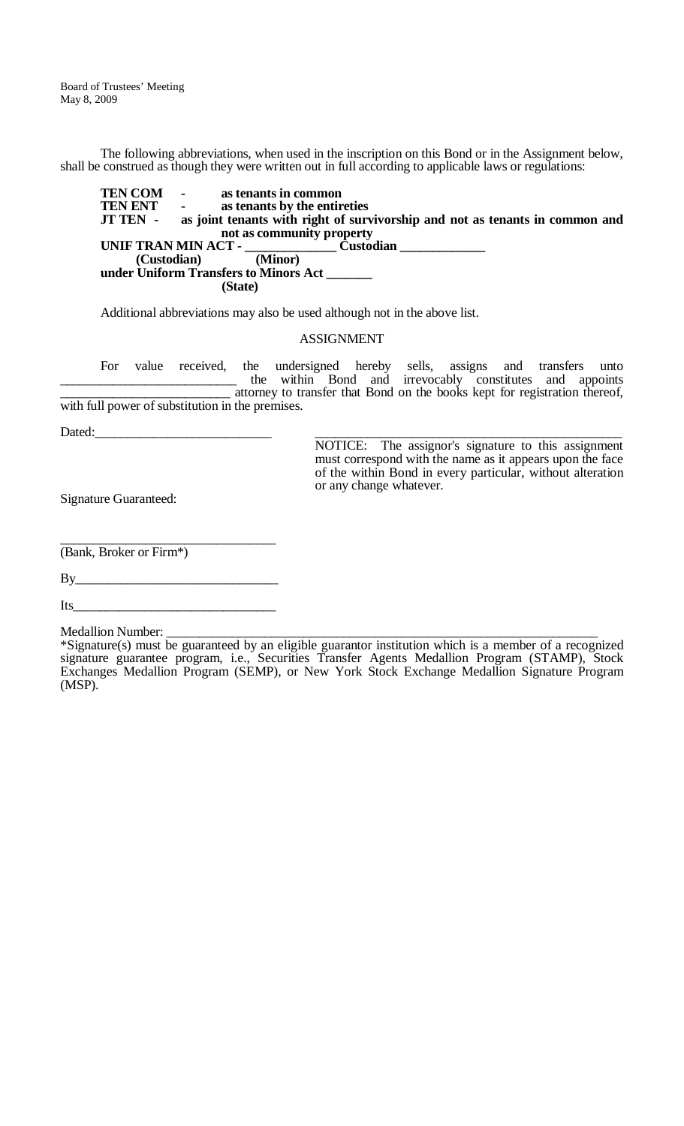The following abbreviations, when used in the inscription on this Bond or in the Assignment below, shall be construed as though they were written out in full according to applicable laws or regulations:

**TEN COM** - **as tenants in common**<br>**TEN ENT** - **as tenants by the entire TEN ENT** - **as tenants by the entireties**<br>**JT TEN** - **as joint tenants with right of surv** as joint tenants with right of survivorship and not as tenants in common and **not as community property UNIF TRAN MIN ACT - \_\_\_\_\_\_\_\_\_\_\_\_\_\_ Custodian \_\_\_\_\_\_\_\_\_\_\_\_\_ (Custodian) under Uniform Transfers to Minors Act \_\_\_\_\_\_\_ (State)**

Additional abbreviations may also be used although not in the above list.

#### ASSIGNMENT

For value received, the undersigned hereby sells, assigns and transfers unto the within Bond and irrevocably constitutes and appoints \_\_\_\_\_\_\_\_\_\_\_\_\_\_\_\_\_\_\_\_\_\_\_\_\_\_ attorney to transfer that Bond on the books kept for registration thereof, with full power of substitution in the premises.

Dated:\_\_\_\_\_\_\_\_\_\_\_\_\_\_\_\_\_\_\_\_\_\_\_\_\_\_\_ \_\_\_\_\_\_\_\_\_\_\_\_\_\_\_\_\_\_\_\_\_\_\_\_\_\_\_\_\_\_\_\_\_\_\_\_\_\_\_\_\_\_\_\_\_\_\_

NOTICE: The assignor's signature to this assignment must correspond with the name as it appears upon the face of the within Bond in every particular, without alteration or any change whatever.

Signature Guaranteed:

\_\_\_\_\_\_\_\_\_\_\_\_\_\_\_\_\_\_\_\_\_\_\_\_\_\_\_\_\_\_\_\_\_ (Bank, Broker or Firm\*)

By\_\_\_\_\_\_\_\_\_\_\_\_\_\_\_\_\_\_\_\_\_\_\_\_\_\_\_\_\_\_\_

Its

Medallion Number: \_\_\_\_\_\_\_\_\_\_\_\_\_\_\_\_\_\_\_\_\_\_\_\_\_\_\_\_\_\_\_\_\_\_\_\_\_\_\_\_\_\_\_\_\_\_\_\_\_\_\_\_\_\_\_\_\_\_\_\_\_\_\_\_\_\_

<sup>\*</sup>Signature(s) must be guaranteed by an eligible guarantor institution which is a member of a recognized signature guarantee program, i.e., Securities Transfer Agents Medallion Program (STAMP), Stock Exchanges Medallion Program (SEMP), or New York Stock Exchange Medallion Signature Program (MSP).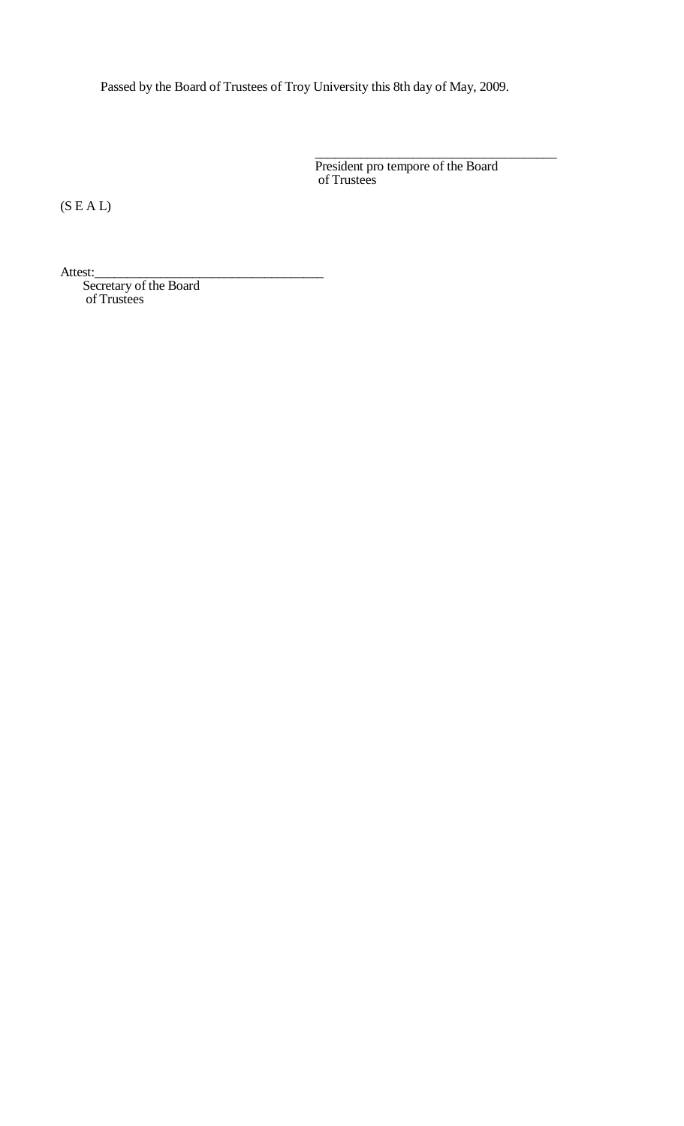Passed by the Board of Trustees of Troy University this 8th day of May, 2009.

\_\_\_\_\_\_\_\_\_\_\_\_\_\_\_\_\_\_\_\_\_\_\_\_\_\_\_\_\_\_\_\_\_\_\_\_\_ President pro tempore of the Board of Trustees

(S E A L)

Attest:\_\_\_\_\_\_\_\_\_\_\_\_\_\_\_\_\_\_\_\_\_\_\_\_\_\_\_\_\_\_\_\_\_\_\_

Secretary of the Board of Trustees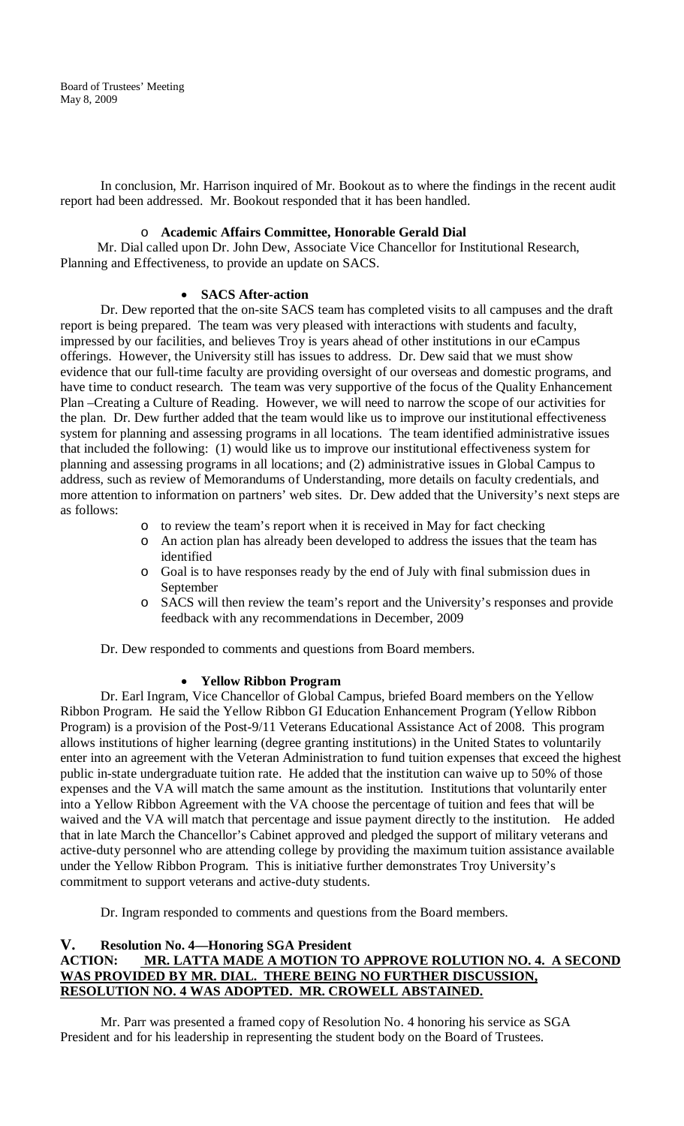In conclusion, Mr. Harrison inquired of Mr. Bookout as to where the findings in the recent audit report had been addressed. Mr. Bookout responded that it has been handled.

## o **Academic Affairs Committee, Honorable Gerald Dial**

 Mr. Dial called upon Dr. John Dew, Associate Vice Chancellor for Institutional Research, Planning and Effectiveness, to provide an update on SACS.

#### • **SACS After-action**

Dr. Dew reported that the on-site SACS team has completed visits to all campuses and the draft report is being prepared. The team was very pleased with interactions with students and faculty, impressed by our facilities, and believes Troy is years ahead of other institutions in our eCampus offerings. However, the University still has issues to address. Dr. Dew said that we must show evidence that our full-time faculty are providing oversight of our overseas and domestic programs, and have time to conduct research. The team was very supportive of the focus of the Quality Enhancement Plan –Creating a Culture of Reading. However, we will need to narrow the scope of our activities for the plan. Dr. Dew further added that the team would like us to improve our institutional effectiveness system for planning and assessing programs in all locations. The team identified administrative issues that included the following: (1) would like us to improve our institutional effectiveness system for planning and assessing programs in all locations; and (2) administrative issues in Global Campus to address, such as review of Memorandums of Understanding, more details on faculty credentials, and more attention to information on partners' web sites. Dr. Dew added that the University's next steps are as follows:

- o to review the team's report when it is received in May for fact checking
- o An action plan has already been developed to address the issues that the team has identified
- o Goal is to have responses ready by the end of July with final submission dues in September
- o SACS will then review the team's report and the University's responses and provide feedback with any recommendations in December, 2009

Dr. Dew responded to comments and questions from Board members.

#### • **Yellow Ribbon Program**

Dr. Earl Ingram, Vice Chancellor of Global Campus, briefed Board members on the Yellow Ribbon Program. He said the Yellow Ribbon GI Education Enhancement Program (Yellow Ribbon Program) is a provision of the Post-9/11 Veterans Educational Assistance Act of 2008. This program allows institutions of higher learning (degree granting institutions) in the United States to voluntarily enter into an agreement with the Veteran Administration to fund tuition expenses that exceed the highest public in-state undergraduate tuition rate. He added that the institution can waive up to 50% of those expenses and the VA will match the same amount as the institution. Institutions that voluntarily enter into a Yellow Ribbon Agreement with the VA choose the percentage of tuition and fees that will be waived and the VA will match that percentage and issue payment directly to the institution. He added that in late March the Chancellor's Cabinet approved and pledged the support of military veterans and active-duty personnel who are attending college by providing the maximum tuition assistance available under the Yellow Ribbon Program. This is initiative further demonstrates Troy University's commitment to support veterans and active-duty students.

Dr. Ingram responded to comments and questions from the Board members.

## **V. Resolution No. 4—Honoring SGA President MR. LATTA MADE A MOTION TO APPROVE ROLUTION NO. 4. A SECOND** WAS PROVIDED BY MR. DIAL. THERE BEING NO FURTHER DISCUSSION, **RESOLUTION NO. 4 WAS ADOPTED. MR. CROWELL ABSTAINED.**

Mr. Parr was presented a framed copy of Resolution No. 4 honoring his service as SGA President and for his leadership in representing the student body on the Board of Trustees.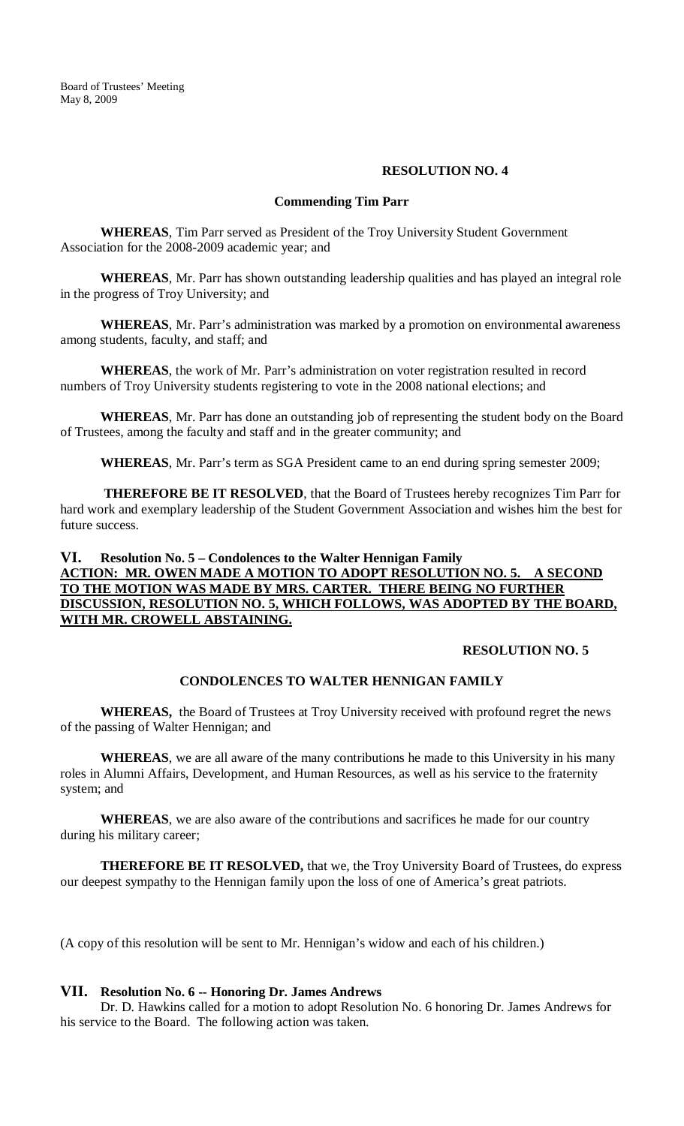## **RESOLUTION NO. 4**

## **Commending Tim Parr**

**WHEREAS**, Tim Parr served as President of the Troy University Student Government Association for the 2008-2009 academic year; and

**WHEREAS**, Mr. Parr has shown outstanding leadership qualities and has played an integral role in the progress of Troy University; and

**WHEREAS**, Mr. Parr's administration was marked by a promotion on environmental awareness among students, faculty, and staff; and

**WHEREAS**, the work of Mr. Parr's administration on voter registration resulted in record numbers of Troy University students registering to vote in the 2008 national elections; and

**WHEREAS**, Mr. Parr has done an outstanding job of representing the student body on the Board of Trustees, among the faculty and staff and in the greater community; and

**WHEREAS**, Mr. Parr's term as SGA President came to an end during spring semester 2009;

**THEREFORE BE IT RESOLVED**, that the Board of Trustees hereby recognizes Tim Parr for hard work and exemplary leadership of the Student Government Association and wishes him the best for future success.

## **VI. Resolution No. 5 – Condolences to the Walter Hennigan Family ACTION: MR. OWEN MADE A MOTION TO ADOPT RESOLUTION NO. 5. A SECOND TO THE MOTION WAS MADE BY MRS. CARTER. THERE BEING NO FURTHER DISCUSSION, RESOLUTION NO. 5, WHICH FOLLOWS, WAS ADOPTED BY THE BOARD, WITH MR. CROWELL ABSTAINING.**

## **RESOLUTION NO. 5**

## **CONDOLENCES TO WALTER HENNIGAN FAMILY**

**WHEREAS,** the Board of Trustees at Troy University received with profound regret the news of the passing of Walter Hennigan; and

**WHEREAS**, we are all aware of the many contributions he made to this University in his many roles in Alumni Affairs, Development, and Human Resources, as well as his service to the fraternity system; and

**WHEREAS**, we are also aware of the contributions and sacrifices he made for our country during his military career;

**THEREFORE BE IT RESOLVED,** that we, the Troy University Board of Trustees, do express our deepest sympathy to the Hennigan family upon the loss of one of America's great patriots.

(A copy of this resolution will be sent to Mr. Hennigan's widow and each of his children.)

## **VII. Resolution No. 6 -- Honoring Dr. James Andrews**

Dr. D. Hawkins called for a motion to adopt Resolution No. 6 honoring Dr. James Andrews for his service to the Board. The following action was taken.